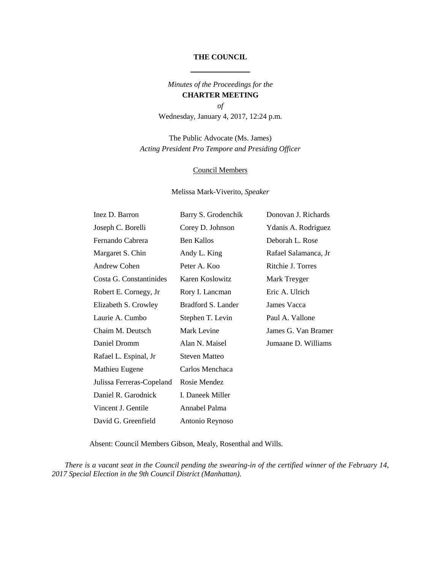## **THE COUNCIL**

*Minutes of the Proceedings for the*  **CHARTER MEETING** *of*

Wednesday, January 4, 2017, 12:24 p.m.

The Public Advocate (Ms. James) *Acting President Pro Tempore and Presiding Officer*

### Council Members

Melissa Mark-Viverito, *Speaker*

| Inez D. Barron            | Barry S. Grodenchik  | Donovan J. Richards  |
|---------------------------|----------------------|----------------------|
| Joseph C. Borelli         | Corey D. Johnson     | Ydanis A. Rodriguez  |
| Fernando Cabrera          | <b>Ben Kallos</b>    | Deborah L. Rose      |
| Margaret S. Chin          | Andy L. King         | Rafael Salamanca, Jr |
| <b>Andrew Cohen</b>       | Peter A. Koo         | Ritchie J. Torres    |
| Costa G. Constantinides   | Karen Koslowitz      | Mark Treyger         |
| Robert E. Cornegy, Jr     | Rory I. Lancman      | Eric A. Ulrich       |
| Elizabeth S. Crowley      | Bradford S. Lander   | James Vacca          |
| Laurie A. Cumbo           | Stephen T. Levin     | Paul A. Vallone      |
| Chaim M. Deutsch          | Mark Levine          | James G. Van Bramer  |
| Daniel Dromm              | Alan N. Maisel       | Jumaane D. Williams  |
| Rafael L. Espinal, Jr     | <b>Steven Matteo</b> |                      |
| Mathieu Eugene            | Carlos Menchaca      |                      |
| Julissa Ferreras-Copeland | Rosie Mendez         |                      |
| Daniel R. Garodnick       | I. Daneek Miller     |                      |
| Vincent J. Gentile        | Annabel Palma        |                      |
| David G. Greenfield       | Antonio Reynoso      |                      |

Absent: Council Members Gibson, Mealy, Rosenthal and Wills.

*There is a vacant seat in the Council pending the swearing-in of the certified winner of the February 14, 2017 Special Election in the 9th Council District (Manhattan).*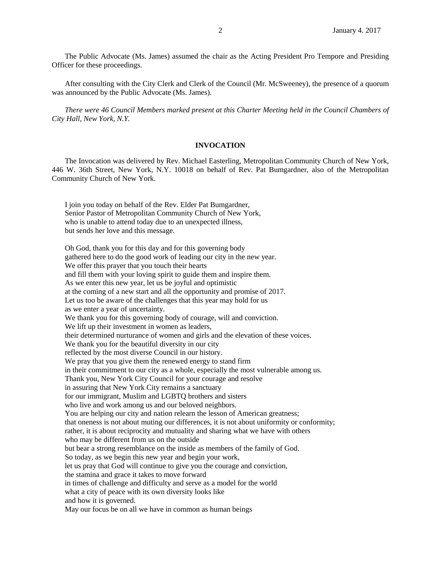The Public Advocate (Ms. James) assumed the chair as the Acting President Pro Tempore and Presiding Officer for these proceedings.

After consulting with the City Clerk and Clerk of the Council (Mr. McSweeney), the presence of a quorum was announced by the Public Advocate (Ms. James).

*There were 46 Council Members marked present at this Charter Meeting held in the Council Chambers of City Hall, New York, N.Y.* 

## **INVOCATION**

The Invocation was delivered by Rev. Michael Easterling, Metropolitan Community Church of New York, 446 W. 36th Street, New York, N.Y. 10018 on behalf of Rev. Pat Bumgardner, also of the Metropolitan Community Church of New York.

I join you today on behalf of the Rev. Elder Pat Bumgardner, Senior Pastor of Metropolitan Community Church of New York, who is unable to attend today due to an unexpected illness, but sends her love and this message.

Oh God, thank you for this day and for this governing body gathered here to do the good work of leading our city in the new year. We offer this prayer that you touch their hearts and fill them with your loving spirit to guide them and inspire them. As we enter this new year, let us be joyful and optimistic at the coming of a new start and all the opportunity and promise of 2017. Let us too be aware of the challenges that this year may hold for us as we enter a year of uncertainty. We thank you for this governing body of courage, will and conviction. We lift up their investment in women as leaders, their determined nurturance of women and girls and the elevation of these voices. We thank you for the beautiful diversity in our city reflected by the most diverse Council in our history. We pray that you give them the renewed energy to stand firm in their commitment to our city as a whole, especially the most vulnerable among us. Thank you, New York City Council for your courage and resolve in assuring that New York City remains a sanctuary for our immigrant, Muslim and LGBTQ brothers and sisters who live and work among us and our beloved neighbors. You are helping our city and nation relearn the lesson of American greatness; that oneness is not about muting our differences, it is not about uniformity or conformity; rather, it is about reciprocity and mutuality and sharing what we have with others who may be different from us on the outside but bear a strong resemblance on the inside as members of the family of God. So today, as we begin this new year and begin your work, let us pray that God will continue to give you the courage and conviction, the stamina and grace it takes to move forward in times of challenge and difficulty and serve as a model for the world what a city of peace with its own diversity looks like and how it is governed. May our focus be on all we have in common as human beings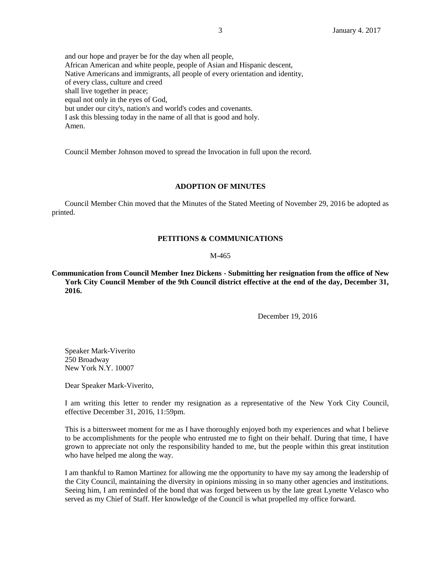and our hope and prayer be for the day when all people, African American and white people, people of Asian and Hispanic descent, Native Americans and immigrants, all people of every orientation and identity, of every class, culture and creed shall live together in peace; equal not only in the eyes of God, but under our city's, nation's and world's codes and covenants. I ask this blessing today in the name of all that is good and holy. Amen.

Council Member Johnson moved to spread the Invocation in full upon the record.

## **ADOPTION OF MINUTES**

Council Member Chin moved that the Minutes of the Stated Meeting of November 29, 2016 be adopted as printed.

# **PETITIONS & COMMUNICATIONS**

### M-465

**Communication from Council Member Inez Dickens - Submitting her resignation from the office of New York City Council Member of the 9th Council district effective at the end of the day, December 31, 2016.**

December 19, 2016

Speaker Mark-Viverito 250 Broadway New York N.Y. 10007

Dear Speaker Mark-Viverito,

I am writing this letter to render my resignation as a representative of the New York City Council, effective December 31, 2016, 11:59pm.

This is a bittersweet moment for me as I have thoroughly enjoyed both my experiences and what I believe to be accomplishments for the people who entrusted me to fight on their behalf. During that time, I have grown to appreciate not only the responsibility handed to me, but the people within this great institution who have helped me along the way.

I am thankful to Ramon Martinez for allowing me the opportunity to have my say among the leadership of the City Council, maintaining the diversity in opinions missing in so many other agencies and institutions. Seeing him, I am reminded of the bond that was forged between us by the late great Lynette Velasco who served as my Chief of Staff. Her knowledge of the Council is what propelled my office forward.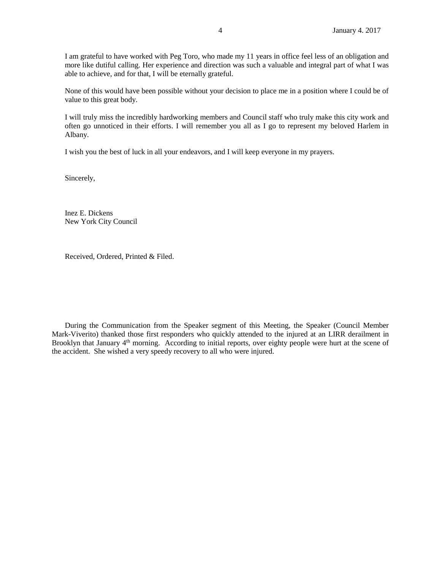I am grateful to have worked with Peg Toro, who made my 11 years in office feel less of an obligation and more like dutiful calling. Her experience and direction was such a valuable and integral part of what I was able to achieve, and for that, I will be eternally grateful.

None of this would have been possible without your decision to place me in a position where I could be of value to this great body.

I will truly miss the incredibly hardworking members and Council staff who truly make this city work and often go unnoticed in their efforts. I will remember you all as I go to represent my beloved Harlem in Albany.

I wish you the best of luck in all your endeavors, and I will keep everyone in my prayers.

Sincerely,

Inez E. Dickens New York City Council

Received, Ordered, Printed & Filed.

During the Communication from the Speaker segment of this Meeting, the Speaker (Council Member Mark-Viverito) thanked those first responders who quickly attended to the injured at an LIRR derailment in Brooklyn that January 4<sup>th</sup> morning. According to initial reports, over eighty people were hurt at the scene of the accident. She wished a very speedy recovery to all who were injured.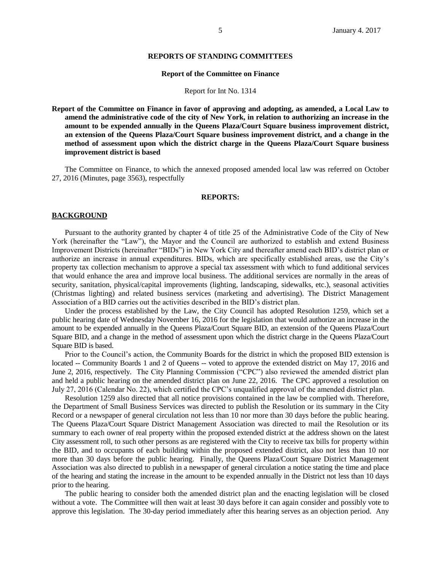#### **REPORTS OF STANDING COMMITTEES**

#### **Report of the Committee on Finance**

#### Report for Int No. 1314

**Report of the Committee on Finance in favor of approving and adopting, as amended, a Local Law to amend the administrative code of the city of New York, in relation to authorizing an increase in the amount to be expended annually in the Queens Plaza/Court Square business improvement district, an extension of the Queens Plaza/Court Square business improvement district, and a change in the method of assessment upon which the district charge in the Queens Plaza/Court Square business improvement district is based**

The Committee on Finance, to which the annexed proposed amended local law was referred on October 27, 2016 (Minutes, page 3563), respectfully

### **REPORTS:**

### **BACKGROUND**

Pursuant to the authority granted by chapter 4 of title 25 of the Administrative Code of the City of New York (hereinafter the "Law"), the Mayor and the Council are authorized to establish and extend Business Improvement Districts (hereinafter "BIDs") in New York City and thereafter amend each BID's district plan or authorize an increase in annual expenditures. BIDs, which are specifically established areas, use the City's property tax collection mechanism to approve a special tax assessment with which to fund additional services that would enhance the area and improve local business. The additional services are normally in the areas of security, sanitation, physical/capital improvements (lighting, landscaping, sidewalks, etc.), seasonal activities (Christmas lighting) and related business services (marketing and advertising). The District Management Association of a BID carries out the activities described in the BID's district plan.

Under the process established by the Law, the City Council has adopted Resolution 1259, which set a public hearing date of Wednesday November 16, 2016 for the legislation that would authorize an increase in the amount to be expended annually in the Queens Plaza/Court Square BID, an extension of the Queens Plaza/Court Square BID, and a change in the method of assessment upon which the district charge in the Queens Plaza/Court Square BID is based.

Prior to the Council's action, the Community Boards for the district in which the proposed BID extension is located -- Community Boards 1 and 2 of Queens -- voted to approve the extended district on May 17, 2016 and June 2, 2016, respectively. The City Planning Commission ("CPC") also reviewed the amended district plan and held a public hearing on the amended district plan on June 22, 2016. The CPC approved a resolution on July 27, 2016 (Calendar No. 22), which certified the CPC's unqualified approval of the amended district plan.

Resolution 1259 also directed that all notice provisions contained in the law be complied with. Therefore, the Department of Small Business Services was directed to publish the Resolution or its summary in the City Record or a newspaper of general circulation not less than 10 nor more than 30 days before the public hearing. The Queens Plaza/Court Square District Management Association was directed to mail the Resolution or its summary to each owner of real property within the proposed extended district at the address shown on the latest City assessment roll, to such other persons as are registered with the City to receive tax bills for property within the BID, and to occupants of each building within the proposed extended district, also not less than 10 nor more than 30 days before the public hearing. Finally, the Queens Plaza/Court Square District Management Association was also directed to publish in a newspaper of general circulation a notice stating the time and place of the hearing and stating the increase in the amount to be expended annually in the District not less than 10 days prior to the hearing.

The public hearing to consider both the amended district plan and the enacting legislation will be closed without a vote. The Committee will then wait at least 30 days before it can again consider and possibly vote to approve this legislation. The 30-day period immediately after this hearing serves as an objection period. Any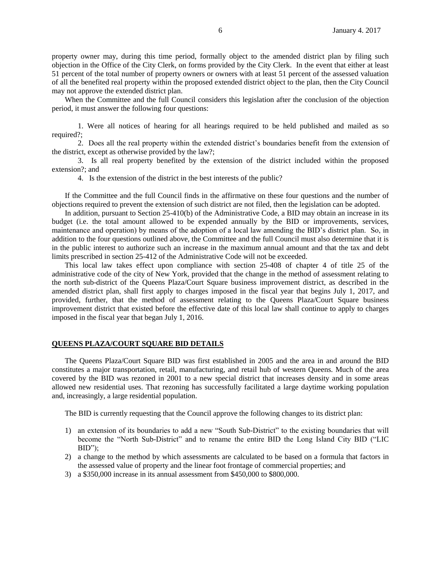property owner may, during this time period, formally object to the amended district plan by filing such objection in the Office of the City Clerk, on forms provided by the City Clerk. In the event that either at least 51 percent of the total number of property owners or owners with at least 51 percent of the assessed valuation of all the benefited real property within the proposed extended district object to the plan, then the City Council may not approve the extended district plan.

When the Committee and the full Council considers this legislation after the conclusion of the objection period, it must answer the following four questions:

1. Were all notices of hearing for all hearings required to be held published and mailed as so required?;

2. Does all the real property within the extended district's boundaries benefit from the extension of the district, except as otherwise provided by the law?;

3. Is all real property benefited by the extension of the district included within the proposed extension?; and

4. Is the extension of the district in the best interests of the public?

If the Committee and the full Council finds in the affirmative on these four questions and the number of objections required to prevent the extension of such district are not filed, then the legislation can be adopted.

In addition, pursuant to Section 25-410(b) of the Administrative Code, a BID may obtain an increase in its budget (i.e. the total amount allowed to be expended annually by the BID or improvements, services, maintenance and operation) by means of the adoption of a local law amending the BID's district plan. So, in addition to the four questions outlined above, the Committee and the full Council must also determine that it is in the public interest to authorize such an increase in the maximum annual amount and that the tax and debt limits prescribed in section 25-412 of the Administrative Code will not be exceeded.

This local law takes effect upon compliance with section 25-408 of chapter 4 of title 25 of the administrative code of the city of New York, provided that the change in the method of assessment relating to the north sub-district of the Queens Plaza/Court Square business improvement district, as described in the amended district plan, shall first apply to charges imposed in the fiscal year that begins July 1, 2017, and provided, further, that the method of assessment relating to the Queens Plaza/Court Square business improvement district that existed before the effective date of this local law shall continue to apply to charges imposed in the fiscal year that began July 1, 2016.

### **QUEENS PLAZA/COURT SQUARE BID DETAILS**

The Queens Plaza/Court Square BID was first established in 2005 and the area in and around the BID constitutes a major transportation, retail, manufacturing, and retail hub of western Queens. Much of the area covered by the BID was rezoned in 2001 to a new special district that increases density and in some areas allowed new residential uses. That rezoning has successfully facilitated a large daytime working population and, increasingly, a large residential population.

The BID is currently requesting that the Council approve the following changes to its district plan:

- 1) an extension of its boundaries to add a new "South Sub-District" to the existing boundaries that will become the "North Sub-District" and to rename the entire BID the Long Island City BID ("LIC  $BID$ ");
- 2) a change to the method by which assessments are calculated to be based on a formula that factors in the assessed value of property and the linear foot frontage of commercial properties; and
- 3) a \$350,000 increase in its annual assessment from \$450,000 to \$800,000.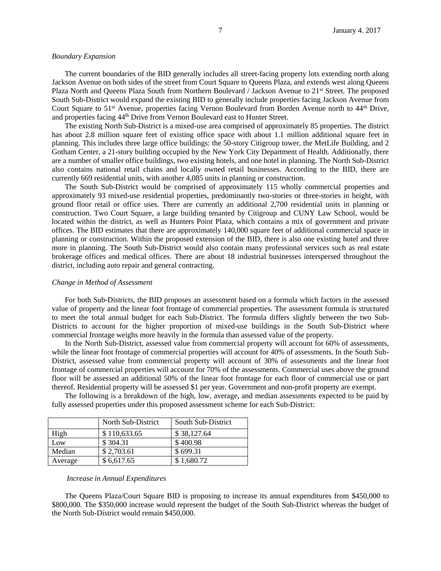#### *Boundary Expansion*

The current boundaries of the BID generally includes all street-facing property lots extending north along Jackson Avenue on both sides of the street from Court Square to Queens Plaza, and extends west along Queens Plaza North and Queens Plaza South from Northern Boulevard / Jackson Avenue to 21st Street. The proposed South Sub-District would expand the existing BID to generally include properties facing Jackson Avenue from Court Square to 51<sup>st</sup> Avenue, properties facing Vernon Boulevard from Borden Avenue north to 44<sup>th</sup> Drive, and properties facing  $44<sup>th</sup>$  Drive from Vernon Boulevard east to Hunter Street.

The existing North Sub-District is a mixed-use area comprised of approximately 85 properties. The district has about 2.8 million square feet of existing office space with about 1.1 million additional square feet in planning. This includes three large office buildings: the 50-story Citigroup tower, the MetLife Building, and 2 Gotham Center, a 21-story building occupied by the New York City Department of Health. Additionally, there are a number of smaller office buildings, two existing hotels, and one hotel in planning. The North Sub-District also contains national retail chains and locally owned retail businesses. According to the BID, there are currently 669 residential units, with another 4,085 units in planning or construction.

The South Sub-District would be comprised of approximately 115 wholly commercial properties and approximately 93 mixed-use residential properties, predominantly two-stories or three-stories in height, with ground floor retail or office uses. There are currently an additional 2,700 residential units in planning or construction. Two Court Square, a large building tenanted by Citigroup and CUNY Law School, would be located within the district, as well as Hunters Point Plaza, which contains a mix of government and private offices. The BID estimates that there are approximately 140,000 square feet of additional commercial space in planning or construction. Within the proposed extension of the BID, there is also one existing hotel and three more in planning. The South Sub-District would also contain many professional services such as real estate brokerage offices and medical offices. There are about 18 industrial businesses interspersed throughout the district, including auto repair and general contracting.

#### *Change in Method of Assessment*

For both Sub-Districts, the BID proposes an assessment based on a formula which factors in the assessed value of property and the linear foot frontage of commercial properties. The assessment formula is structured to meet the total annual budget for each Sub-District. The formula differs slightly between the two Sub-Districts to account for the higher proportion of mixed-use buildings in the South Sub-District where commercial frontage weighs more heavily in the formula than assessed value of the property.

In the North Sub-District, assessed value from commercial property will account for 60% of assessments, while the linear foot frontage of commercial properties will account for 40% of assessments. In the South Sub-District, assessed value from commercial property will account of 30% of assessments and the linear foot frontage of commercial properties will account for 70% of the assessments. Commercial uses above the ground floor will be assessed an additional 50% of the linear foot frontage for each floor of commercial use or part thereof. Residential property will be assessed \$1 per year. Government and non-profit property are exempt.

The following is a breakdown of the high, low, average, and median assessments expected to be paid by fully assessed properties under this proposed assessment scheme for each Sub-District:

|         | North Sub-District | South Sub-District |
|---------|--------------------|--------------------|
| High    | \$110,633.65       | \$38,127.64        |
| Low     | \$304.31           | \$400.98           |
| Median  | \$2,703.61         | \$699.31           |
| Average | \$6,617.65         | \$1,680.72         |

#### *Increase in Annual Expenditures*

The Queens Plaza/Court Square BID is proposing to increase its annual expenditures from \$450,000 to \$800,000. The \$350,000 increase would represent the budget of the South Sub-District whereas the budget of the North Sub-District would remain \$450,000.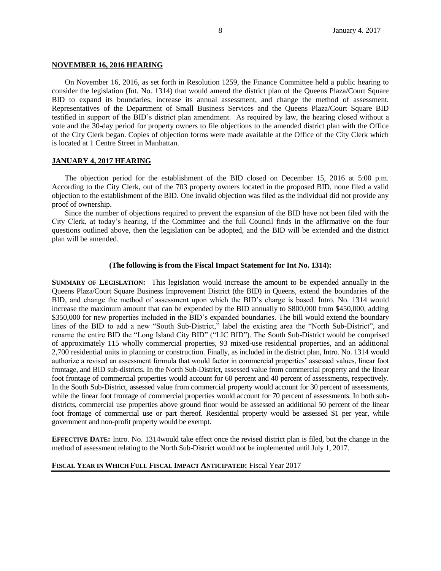### **NOVEMBER 16, 2016 HEARING**

On November 16, 2016, as set forth in Resolution 1259, the Finance Committee held a public hearing to consider the legislation (Int. No. 1314) that would amend the district plan of the Queens Plaza/Court Square BID to expand its boundaries, increase its annual assessment, and change the method of assessment. Representatives of the Department of Small Business Services and the Queens Plaza/Court Square BID testified in support of the BID's district plan amendment. As required by law, the hearing closed without a vote and the 30-day period for property owners to file objections to the amended district plan with the Office of the City Clerk began. Copies of objection forms were made available at the Office of the City Clerk which is located at 1 Centre Street in Manhattan.

## **JANUARY 4, 2017 HEARING**

The objection period for the establishment of the BID closed on December 15, 2016 at 5:00 p.m. According to the City Clerk, out of the 703 property owners located in the proposed BID, none filed a valid objection to the establishment of the BID. One invalid objection was filed as the individual did not provide any proof of ownership.

Since the number of objections required to prevent the expansion of the BID have not been filed with the City Clerk, at today's hearing, if the Committee and the full Council finds in the affirmative on the four questions outlined above, then the legislation can be adopted, and the BID will be extended and the district plan will be amended.

### **(The following is from the Fiscal Impact Statement for Int No. 1314):**

**SUMMARY OF LEGISLATION:** This legislation would increase the amount to be expended annually in the Queens Plaza/Court Square Business Improvement District (the BID) in Queens, extend the boundaries of the BID, and change the method of assessment upon which the BID's charge is based. Intro. No. 1314 would increase the maximum amount that can be expended by the BID annually to \$800,000 from \$450,000, adding \$350,000 for new properties included in the BID's expanded boundaries. The bill would extend the boundary lines of the BID to add a new "South Sub-District," label the existing area the "North Sub-District", and rename the entire BID the "Long Island City BID" ("LIC BID"). The South Sub-District would be comprised of approximately 115 wholly commercial properties, 93 mixed-use residential properties, and an additional 2,700 residential units in planning or construction. Finally, as included in the district plan, Intro. No. 1314 would authorize a revised an assessment formula that would factor in commercial properties' assessed values, linear foot frontage, and BID sub-districts. In the North Sub-District, assessed value from commercial property and the linear foot frontage of commercial properties would account for 60 percent and 40 percent of assessments, respectively. In the South Sub-District, assessed value from commercial property would account for 30 percent of assessments, while the linear foot frontage of commercial properties would account for 70 percent of assessments. In both subdistricts, commercial use properties above ground floor would be assessed an additional 50 percent of the linear foot frontage of commercial use or part thereof. Residential property would be assessed \$1 per year, while government and non-profit property would be exempt.

**EFFECTIVE DATE:** Intro. No. 1314would take effect once the revised district plan is filed, but the change in the method of assessment relating to the North Sub-District would not be implemented until July 1, 2017.

**FISCAL YEAR IN WHICH FULL FISCAL IMPACT ANTICIPATED:** Fiscal Year 2017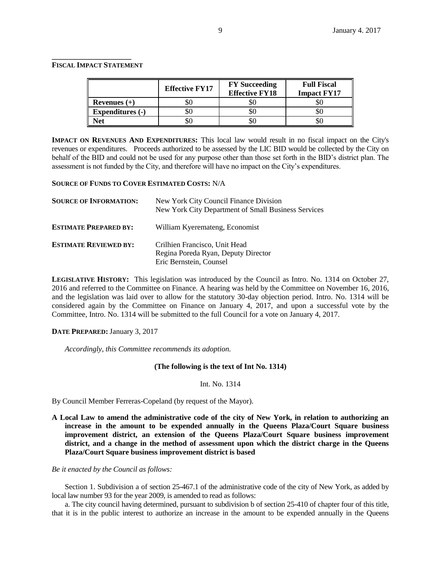### **FISCAL IMPACT STATEMENT**

**\_\_\_\_\_\_\_\_\_\_\_\_\_\_\_\_\_\_\_\_\_**

|                         | <b>Effective FY17</b> | <b>FY</b> Succeeding<br><b>Effective FY18</b> | <b>Full Fiscal</b><br><b>Impact FY17</b> |
|-------------------------|-----------------------|-----------------------------------------------|------------------------------------------|
| Revenues $(+)$          | DU.                   | DU.                                           |                                          |
| <b>Expenditures (-)</b> | υU                    | ðU                                            |                                          |
| Net                     | DU.                   | DU.                                           |                                          |

**IMPACT ON REVENUES AND EXPENDITURES:** This local law would result in no fiscal impact on the City's revenues or expenditures. Proceeds authorized to be assessed by the LIC BID would be collected by the City on behalf of the BID and could not be used for any purpose other than those set forth in the BID's district plan. The assessment is not funded by the City, and therefore will have no impact on the City's expenditures.

## **SOURCE OF FUNDS TO COVER ESTIMATED COSTS:** N/A

| <b>SOURCE OF INFORMATION:</b> | New York City Council Finance Division<br>New York City Department of Small Business Services   |
|-------------------------------|-------------------------------------------------------------------------------------------------|
| <b>ESTIMATE PREPARED BY:</b>  | William Kyeremateng, Economist                                                                  |
| <b>ESTIMATE REVIEWED BY:</b>  | Crilhien Francisco, Unit Head<br>Regina Poreda Ryan, Deputy Director<br>Eric Bernstein, Counsel |

**LEGISLATIVE HISTORY:** This legislation was introduced by the Council as Intro. No. 1314 on October 27, 2016 and referred to the Committee on Finance. A hearing was held by the Committee on November 16, 2016, and the legislation was laid over to allow for the statutory 30-day objection period. Intro. No. 1314 will be considered again by the Committee on Finance on January 4, 2017, and upon a successful vote by the Committee, Intro. No. 1314 will be submitted to the full Council for a vote on January 4, 2017.

## **DATE PREPARED:** January 3, 2017

*Accordingly, this Committee recommends its adoption.*

## **(The following is the text of Int No. 1314)**

### Int. No. 1314

By Council Member Ferreras-Copeland (by request of the Mayor).

**A Local Law to amend the administrative code of the city of New York, in relation to authorizing an increase in the amount to be expended annually in the Queens Plaza/Court Square business improvement district, an extension of the Queens Plaza/Court Square business improvement district, and a change in the method of assessment upon which the district charge in the Queens Plaza/Court Square business improvement district is based**

*Be it enacted by the Council as follows:*

Section 1. Subdivision a of section 25-467.1 of the administrative code of the city of New York, as added by local law number 93 for the year 2009, is amended to read as follows:

a. The city council having determined, pursuant to subdivision b of section 25-410 of chapter four of this title, that it is in the public interest to authorize an increase in the amount to be expended annually in the Queens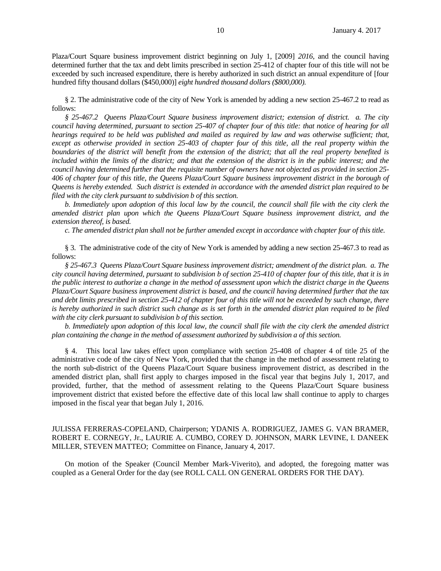Plaza/Court Square business improvement district beginning on July 1, [2009] *2016*, and the council having determined further that the tax and debt limits prescribed in section 25-412 of chapter four of this title will not be exceeded by such increased expenditure, there is hereby authorized in such district an annual expenditure of [four hundred fifty thousand dollars (\$450,000)] *eight hundred thousand dollars (\$800,000).*

§ 2. The administrative code of the city of New York is amended by adding a new section 25-467.2 to read as follows:

*§ 25-467.2 Queens Plaza/Court Square business improvement district; extension of district. a. The city council having determined, pursuant to section 25-407 of chapter four of this title: that notice of hearing for all hearings required to be held was published and mailed as required by law and was otherwise sufficient; that,*  except as otherwise provided in section 25-403 of chapter four of this title, all the real property within the *boundaries of the district will benefit from the extension of the district; that all the real property benefited is*  included within the limits of the district; and that the extension of the district is in the public interest; and the *council having determined further that the requisite number of owners have not objected as provided in section 25- 406 of chapter four of this title, the Queens Plaza/Court Square business improvement district in the borough of Queens is hereby extended. Such district is extended in accordance with the amended district plan required to be filed with the city clerk pursuant to subdivision b of this section.*

*b. Immediately upon adoption of this local law by the council, the council shall file with the city clerk the amended district plan upon which the Queens Plaza/Court Square business improvement district, and the extension thereof, is based.*

*c. The amended district plan shall not be further amended except in accordance with chapter four of this title.*

§ 3. The administrative code of the city of New York is amended by adding a new section 25-467.3 to read as follows:

*§ 25-467.3 Queens Plaza/Court Square business improvement district; amendment of the district plan. a. The city council having determined, pursuant to subdivision b of section 25-410 of chapter four of this title, that it is in the public interest to authorize a change in the method of assessment upon which the district charge in the Queens Plaza/Court Square business improvement district is based, and the council having determined further that the tax and debt limits prescribed in section 25-412 of chapter four of this title will not be exceeded by such change, there is hereby authorized in such district such change as is set forth in the amended district plan required to be filed with the city clerk pursuant to subdivision b of this section.*

*b. Immediately upon adoption of this local law, the council shall file with the city clerk the amended district plan containing the change in the method of assessment authorized by subdivision a of this section.*

§ 4. This local law takes effect upon compliance with section 25-408 of chapter 4 of title 25 of the administrative code of the city of New York, provided that the change in the method of assessment relating to the north sub-district of the Queens Plaza/Court Square business improvement district, as described in the amended district plan, shall first apply to charges imposed in the fiscal year that begins July 1, 2017, and provided, further, that the method of assessment relating to the Queens Plaza/Court Square business improvement district that existed before the effective date of this local law shall continue to apply to charges imposed in the fiscal year that began July 1, 2016.

# JULISSA FERRERAS-COPELAND, Chairperson; YDANIS A. RODRIGUEZ, JAMES G. VAN BRAMER, ROBERT E. CORNEGY, Jr., LAURIE A. CUMBO, COREY D. JOHNSON, MARK LEVINE, I. DANEEK MILLER, STEVEN MATTEO; Committee on Finance, January 4, 2017.

On motion of the Speaker (Council Member Mark-Viverito), and adopted, the foregoing matter was coupled as a General Order for the day (see ROLL CALL ON GENERAL ORDERS FOR THE DAY).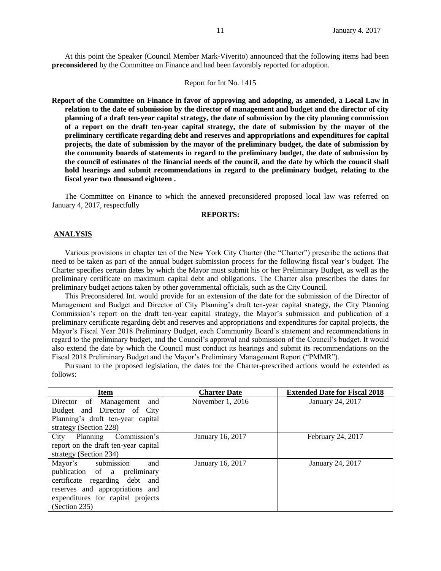At this point the Speaker (Council Member Mark-Viverito) announced that the following items had been **preconsidered** by the Committee on Finance and had been favorably reported for adoption.

### Report for Int No. 1415

**Report of the Committee on Finance in favor of approving and adopting, as amended, a Local Law in relation to the date of submission by the director of management and budget and the director of city planning of a draft ten-year capital strategy, the date of submission by the city planning commission of a report on the draft ten-year capital strategy, the date of submission by the mayor of the preliminary certificate regarding debt and reserves and appropriations and expenditures for capital projects, the date of submission by the mayor of the preliminary budget, the date of submission by the community boards of statements in regard to the preliminary budget, the date of submission by the council of estimates of the financial needs of the council, and the date by which the council shall hold hearings and submit recommendations in regard to the preliminary budget, relating to the fiscal year two thousand eighteen .**

The Committee on Finance to which the annexed preconsidered proposed local law was referred on January 4, 2017, respectfully

### **REPORTS:**

### **ANALYSIS**

Various provisions in chapter ten of the New York City Charter (the "Charter") prescribe the actions that need to be taken as part of the annual budget submission process for the following fiscal year's budget. The Charter specifies certain dates by which the Mayor must submit his or her Preliminary Budget, as well as the preliminary certificate on maximum capital debt and obligations. The Charter also prescribes the dates for preliminary budget actions taken by other governmental officials, such as the City Council.

This Preconsidered Int. would provide for an extension of the date for the submission of the Director of Management and Budget and Director of City Planning's draft ten-year capital strategy, the City Planning Commission's report on the draft ten-year capital strategy, the Mayor's submission and publication of a preliminary certificate regarding debt and reserves and appropriations and expenditures for capital projects, the Mayor's Fiscal Year 2018 Preliminary Budget, each Community Board's statement and recommendations in regard to the preliminary budget, and the Council's approval and submission of the Council's budget. It would also extend the date by which the Council must conduct its hearings and submit its recommendations on the Fiscal 2018 Preliminary Budget and the Mayor's Preliminary Management Report ("PMMR").

Pursuant to the proposed legislation, the dates for the Charter-prescribed actions would be extended as follows:

| Item                                 | <b>Charter Date</b> | <b>Extended Date for Fiscal 2018</b> |  |
|--------------------------------------|---------------------|--------------------------------------|--|
| Director of Management<br>and        | November 1, 2016    | January 24, 2017                     |  |
| Budget and Director of City          |                     |                                      |  |
| Planning's draft ten-year capital    |                     |                                      |  |
| strategy (Section 228)               |                     |                                      |  |
| City Planning Commission's           | January 16, 2017    | February 24, 2017                    |  |
| report on the draft ten-year capital |                     |                                      |  |
| strategy (Section 234)               |                     |                                      |  |
| Mayor's submission<br>and            | January 16, 2017    | January 24, 2017                     |  |
| publication of a preliminary         |                     |                                      |  |
| certificate regarding debt and       |                     |                                      |  |
| reserves and appropriations and      |                     |                                      |  |
| expenditures for capital projects    |                     |                                      |  |
| (Section 235)                        |                     |                                      |  |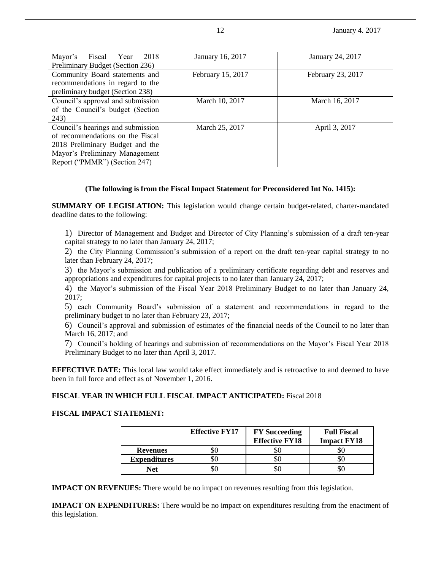12 **January 4. 2017** 

| Mayor's<br>2018<br>Fiscal Year<br>Preliminary Budget (Section 236)                                                                                                          | January 16, 2017  | January 24, 2017  |
|-----------------------------------------------------------------------------------------------------------------------------------------------------------------------------|-------------------|-------------------|
| Community Board statements and<br>recommendations in regard to the<br>preliminary budget (Section 238)                                                                      | February 15, 2017 | February 23, 2017 |
| Council's approval and submission<br>of the Council's budget (Section<br>243)                                                                                               | March 10, 2017    | March 16, 2017    |
| Council's hearings and submission<br>of recommendations on the Fiscal<br>2018 Preliminary Budget and the<br>Mayor's Preliminary Management<br>Report ("PMMR") (Section 247) | March 25, 2017    | April 3, 2017     |

# **(The following is from the Fiscal Impact Statement for Preconsidered Int No. 1415):**

**SUMMARY OF LEGISLATION:** This legislation would change certain budget-related, charter-mandated deadline dates to the following:

1) Director of Management and Budget and Director of City Planning's submission of a draft ten-year capital strategy to no later than January 24, 2017;

2) the City Planning Commission's submission of a report on the draft ten-year capital strategy to no later than February 24, 2017;

3) the Mayor's submission and publication of a preliminary certificate regarding debt and reserves and appropriations and expenditures for capital projects to no later than January 24, 2017;

4) the Mayor's submission of the Fiscal Year 2018 Preliminary Budget to no later than January 24, 2017;

5) each Community Board's submission of a statement and recommendations in regard to the preliminary budget to no later than February 23, 2017;

6) Council's approval and submission of estimates of the financial needs of the Council to no later than March 16, 2017; and

7) Council's holding of hearings and submission of recommendations on the Mayor's Fiscal Year 2018 Preliminary Budget to no later than April 3, 2017.

**EFFECTIVE DATE:** This local law would take effect immediately and is retroactive to and deemed to have been in full force and effect as of November 1, 2016.

## **FISCAL YEAR IN WHICH FULL FISCAL IMPACT ANTICIPATED:** Fiscal 2018

## **FISCAL IMPACT STATEMENT:**

|                     | <b>Effective FY17</b> | <b>FY</b> Succeeding<br><b>Effective FY18</b> | <b>Full Fiscal</b><br><b>Impact FY18</b> |
|---------------------|-----------------------|-----------------------------------------------|------------------------------------------|
| <b>Revenues</b>     |                       | YC                                            |                                          |
| <b>Expenditures</b> |                       | YC                                            |                                          |
| Net                 |                       | SC.                                           |                                          |

**IMPACT ON REVENUES:** There would be no impact on revenues resulting from this legislation.

**IMPACT ON EXPENDITURES:** There would be no impact on expenditures resulting from the enactment of this legislation.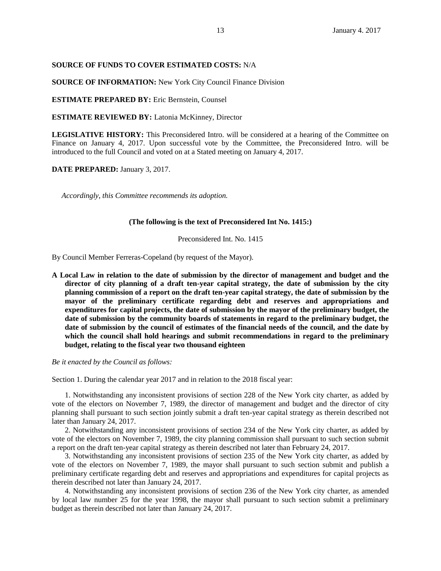### **SOURCE OF FUNDS TO COVER ESTIMATED COSTS:** N/A

**SOURCE OF INFORMATION:** New York City Council Finance Division

**ESTIMATE PREPARED BY:** Eric Bernstein, Counsel

**ESTIMATE REVIEWED BY:** Latonia McKinney, Director

**LEGISLATIVE HISTORY:** This Preconsidered Intro. will be considered at a hearing of the Committee on Finance on January 4, 2017. Upon successful vote by the Committee, the Preconsidered Intro. will be introduced to the full Council and voted on at a Stated meeting on January 4, 2017.

**DATE PREPARED:** January 3, 2017.

*Accordingly, this Committee recommends its adoption.*

### **(The following is the text of Preconsidered Int No. 1415:)**

Preconsidered Int. No. 1415

By Council Member Ferreras-Copeland (by request of the Mayor).

**A Local Law in relation to the date of submission by the director of management and budget and the director of city planning of a draft ten-year capital strategy, the date of submission by the city planning commission of a report on the draft ten-year capital strategy, the date of submission by the mayor of the preliminary certificate regarding debt and reserves and appropriations and expenditures for capital projects, the date of submission by the mayor of the preliminary budget, the date of submission by the community boards of statements in regard to the preliminary budget, the date of submission by the council of estimates of the financial needs of the council, and the date by which the council shall hold hearings and submit recommendations in regard to the preliminary budget, relating to the fiscal year two thousand eighteen**

*Be it enacted by the Council as follows:*

Section 1. During the calendar year 2017 and in relation to the 2018 fiscal year:

1. Notwithstanding any inconsistent provisions of section 228 of the New York city charter, as added by vote of the electors on November 7, 1989, the director of management and budget and the director of city planning shall pursuant to such section jointly submit a draft ten-year capital strategy as therein described not later than January 24, 2017.

2. Notwithstanding any inconsistent provisions of section 234 of the New York city charter, as added by vote of the electors on November 7, 1989, the city planning commission shall pursuant to such section submit a report on the draft ten-year capital strategy as therein described not later than February 24, 2017.

3. Notwithstanding any inconsistent provisions of section 235 of the New York city charter, as added by vote of the electors on November 7, 1989, the mayor shall pursuant to such section submit and publish a preliminary certificate regarding debt and reserves and appropriations and expenditures for capital projects as therein described not later than January 24, 2017.

4. Notwithstanding any inconsistent provisions of section 236 of the New York city charter, as amended by local law number 25 for the year 1998, the mayor shall pursuant to such section submit a preliminary budget as therein described not later than January 24, 2017.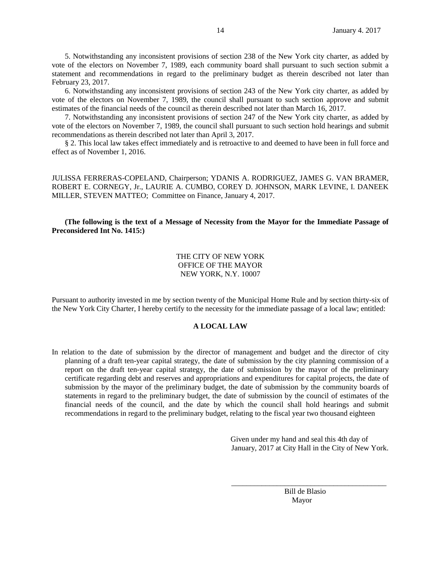5. Notwithstanding any inconsistent provisions of section 238 of the New York city charter, as added by vote of the electors on November 7, 1989, each community board shall pursuant to such section submit a statement and recommendations in regard to the preliminary budget as therein described not later than February 23, 2017.

6. Notwithstanding any inconsistent provisions of section 243 of the New York city charter, as added by vote of the electors on November 7, 1989, the council shall pursuant to such section approve and submit estimates of the financial needs of the council as therein described not later than March 16, 2017.

7. Notwithstanding any inconsistent provisions of section 247 of the New York city charter, as added by vote of the electors on November 7, 1989, the council shall pursuant to such section hold hearings and submit recommendations as therein described not later than April 3, 2017.

§ 2. This local law takes effect immediately and is retroactive to and deemed to have been in full force and effect as of November 1, 2016.

JULISSA FERRERAS-COPELAND, Chairperson; YDANIS A. RODRIGUEZ, JAMES G. VAN BRAMER, ROBERT E. CORNEGY, Jr., LAURIE A. CUMBO, COREY D. JOHNSON, MARK LEVINE, I. DANEEK MILLER, STEVEN MATTEO; Committee on Finance, January 4, 2017.

# **(The following is the text of a Message of Necessity from the Mayor for the Immediate Passage of Preconsidered Int No. 1415:)**

# THE CITY OF NEW YORK OFFICE OF THE MAYOR NEW YORK, N.Y. 10007

Pursuant to authority invested in me by section twenty of the Municipal Home Rule and by section thirty-six of the New York City Charter, I hereby certify to the necessity for the immediate passage of a local law; entitled:

## **A LOCAL LAW**

In relation to the date of submission by the director of management and budget and the director of city planning of a draft ten-year capital strategy, the date of submission by the city planning commission of a report on the draft ten-year capital strategy, the date of submission by the mayor of the preliminary certificate regarding debt and reserves and appropriations and expenditures for capital projects, the date of submission by the mayor of the preliminary budget, the date of submission by the community boards of statements in regard to the preliminary budget, the date of submission by the council of estimates of the financial needs of the council, and the date by which the council shall hold hearings and submit recommendations in regard to the preliminary budget, relating to the fiscal year two thousand eighteen

 $\overline{\phantom{a}}$  , and the state of the state of the state of the state of the state of the state of the state of the state of the state of the state of the state of the state of the state of the state of the state of the stat

 Given under my hand and seal this 4th day of January, 2017 at City Hall in the City of New York.

 Bill de Blasio Mayor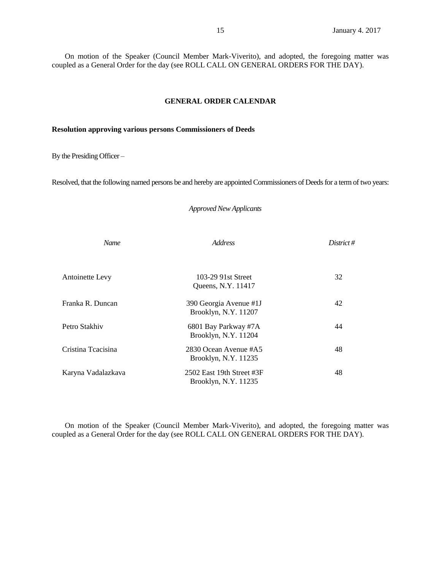On motion of the Speaker (Council Member Mark-Viverito), and adopted, the foregoing matter was coupled as a General Order for the day (see ROLL CALL ON GENERAL ORDERS FOR THE DAY).

# **GENERAL ORDER CALENDAR**

### **Resolution approving various persons Commissioners of Deeds**

By the Presiding Officer –

Resolved, that the following named persons be and hereby are appointed Commissioners of Deeds for a term of two years:

## *Approved New Applicants*

| <b>Name</b>            | <i>Address</i>                                    | District# |
|------------------------|---------------------------------------------------|-----------|
| <b>Antoinette Levy</b> | 103-29 91st Street<br>Queens, N.Y. 11417          | 32        |
| Franka R. Duncan       | 390 Georgia Avenue #1J<br>Brooklyn, N.Y. 11207    | 42        |
| Petro Stakhiv          | 6801 Bay Parkway #7A<br>Brooklyn, N.Y. 11204      | 44        |
| Cristina Teacisina     | 2830 Ocean Avenue #A5<br>Brooklyn, N.Y. 11235     | 48        |
| Karyna Vadalazkava     | 2502 East 19th Street #3F<br>Brooklyn, N.Y. 11235 | 48        |

On motion of the Speaker (Council Member Mark-Viverito), and adopted, the foregoing matter was coupled as a General Order for the day (see ROLL CALL ON GENERAL ORDERS FOR THE DAY).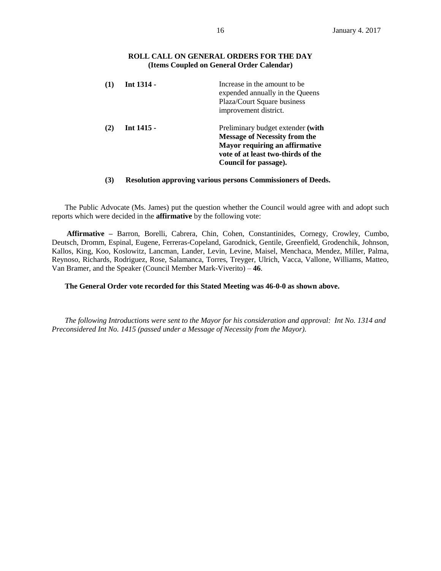## **ROLL CALL ON GENERAL ORDERS FOR THE DAY (Items Coupled on General Order Calendar)**

|     | Int 1314 - | Increase in the amount to be.<br>expended annually in the Queens<br>Plaza/Court Square business<br>improvement district.                                                          |
|-----|------------|-----------------------------------------------------------------------------------------------------------------------------------------------------------------------------------|
| (2) | Int 1415 - | Preliminary budget extender (with<br><b>Message of Necessity from the</b><br><b>Mayor requiring an affirmative</b><br>vote of at least two-thirds of the<br>Council for passage). |

# **(3) Resolution approving various persons Commissioners of Deeds.**

The Public Advocate (Ms. James) put the question whether the Council would agree with and adopt such reports which were decided in the **affirmative** by the following vote:

**Affirmative –** Barron, Borelli, Cabrera, Chin, Cohen, Constantinides, Cornegy, Crowley, Cumbo, Deutsch, Dromm, Espinal, Eugene, Ferreras-Copeland, Garodnick, Gentile, Greenfield, Grodenchik, Johnson, Kallos, King, Koo, Koslowitz, Lancman, Lander, Levin, Levine, Maisel, Menchaca, Mendez, Miller, Palma, Reynoso, Richards, Rodriguez, Rose, Salamanca, Torres, Treyger, Ulrich, Vacca, Vallone, Williams, Matteo, Van Bramer, and the Speaker (Council Member Mark-Viverito) – **46**.

# **The General Order vote recorded for this Stated Meeting was 46-0-0 as shown above.**

*The following Introductions were sent to the Mayor for his consideration and approval: Int No. 1314 and Preconsidered Int No. 1415 (passed under a Message of Necessity from the Mayor).*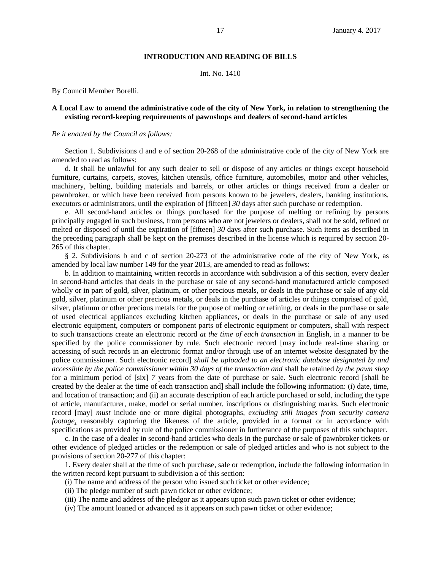## **INTRODUCTION AND READING OF BILLS**

Int. No. 1410

By Council Member Borelli.

## **A Local Law to amend the administrative code of the city of New York, in relation to strengthening the existing record-keeping requirements of pawnshops and dealers of second-hand articles**

### *Be it enacted by the Council as follows:*

Section 1. Subdivisions d and e of section 20-268 of the administrative code of the city of New York are amended to read as follows:

d. It shall be unlawful for any such dealer to sell or dispose of any articles or things except household furniture, curtains, carpets, stoves, kitchen utensils, office furniture, automobiles, motor and other vehicles, machinery, belting, building materials and barrels, or other articles or things received from a dealer or pawnbroker, or which have been received from persons known to be jewelers, dealers, banking institutions, executors or administrators, until the expiration of [fifteen] *30* days after such purchase or redemption.

e. All second-hand articles or things purchased for the purpose of melting or refining by persons principally engaged in such business, from persons who are not jewelers or dealers, shall not be sold, refined or melted or disposed of until the expiration of [fifteen] *30* days after such purchase. Such items as described in the preceding paragraph shall be kept on the premises described in the license which is required by section 20- 265 of this chapter.

§ 2. Subdivisions b and c of section 20-273 of the administrative code of the city of New York, as amended by local law number 149 for the year 2013, are amended to read as follows:

b. In addition to maintaining written records in accordance with subdivision a of this section, every dealer in second-hand articles that deals in the purchase or sale of any second-hand manufactured article composed wholly or in part of gold, silver, platinum, or other precious metals, or deals in the purchase or sale of any old gold, silver, platinum or other precious metals, or deals in the purchase of articles or things comprised of gold, silver, platinum or other precious metals for the purpose of melting or refining, or deals in the purchase or sale of used electrical appliances excluding kitchen appliances, or deals in the purchase or sale of any used electronic equipment, computers or component parts of electronic equipment or computers, shall with respect to such transactions create an electronic record *at the time of each transaction* in English, in a manner to be specified by the police commissioner by rule. Such electronic record [may include real-time sharing or accessing of such records in an electronic format and/or through use of an internet website designated by the police commissioner. Such electronic record] *shall be uploaded to an electronic database designated by and accessible by the police commissioner within 30 days of the transaction and* shall be retained *by the pawn shop* for a minimum period of [six] *7* years from the date of purchase or sale. Such electronic record [shall be created by the dealer at the time of each transaction and] shall include the following information: (i) date, time, and location of transaction; and (ii) an accurate description of each article purchased or sold, including the type of article, manufacturer, make, model or serial number, inscriptions or distinguishing marks. Such electronic record [may] *must* include one or more digital photographs*, excluding still images from security camera footage*, reasonably capturing the likeness of the article, provided in a format or in accordance with specifications as provided by rule of the police commissioner in furtherance of the purposes of this subchapter.

c. In the case of a dealer in second-hand articles who deals in the purchase or sale of pawnbroker tickets or other evidence of pledged articles or the redemption or sale of pledged articles and who is not subject to the provisions of section 20-277 of this chapter:

1. Every dealer shall at the time of such purchase, sale or redemption, include the following information in the written record kept pursuant to subdivision a of this section:

- (i) The name and address of the person who issued such ticket or other evidence;
- (ii) The pledge number of such pawn ticket or other evidence;
- (iii) The name and address of the pledgor as it appears upon such pawn ticket or other evidence;
- (iv) The amount loaned or advanced as it appears on such pawn ticket or other evidence;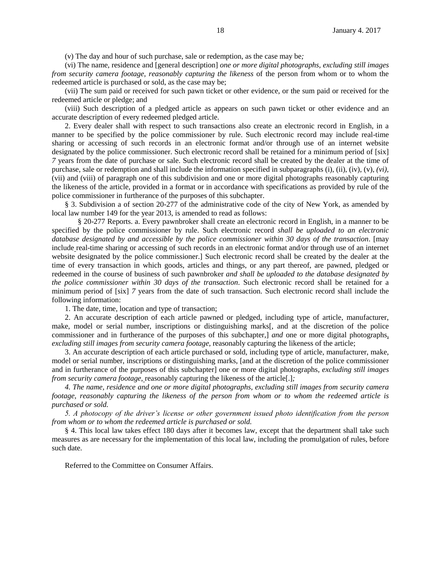(v) The day and hour of such purchase, sale or redemption, as the case may be*;*

(vi) The name, residence and [general description] *one or more digital photographs, excluding still images from security camera footage, reasonably capturing the likeness* of the person from whom or to whom the redeemed article is purchased or sold, as the case may be;

(vii) The sum paid or received for such pawn ticket or other evidence, or the sum paid or received for the redeemed article or pledge; and

(viii) Such description of a pledged article as appears on such pawn ticket or other evidence and an accurate description of every redeemed pledged article.

2. Every dealer shall with respect to such transactions also create an electronic record in English, in a manner to be specified by the police commissioner by rule. Such electronic record may include real-time sharing or accessing of such records in an electronic format and/or through use of an internet website designated by the police commissioner. Such electronic record shall be retained for a minimum period of [six] *7* years from the date of purchase or sale. Such electronic record shall be created by the dealer at the time of purchase, sale or redemption and shall include the information specified in subparagraphs (i), (ii), (iv), (v), *(vi),* (vii) and (viii) of paragraph one of this subdivision and one or more digital photographs reasonably capturing the likeness of the article, provided in a format or in accordance with specifications as provided by rule of the police commissioner in furtherance of the purposes of this subchapter.

§ 3. Subdivision a of section 20-277 of the administrative code of the city of New York, as amended by local law number 149 for the year 2013, is amended to read as follows:

§ 20-277 Reports. a. Every pawnbroker shall create an electronic record in English, in a manner to be specified by the police commissioner by rule. Such electronic record *shall be uploaded to an electronic database designated by and accessible by the police commissioner within 30 days of the transaction*. [may include real-time sharing or accessing of such records in an electronic format and/or through use of an internet website designated by the police commissioner.] Such electronic record shall be created by the dealer at the time of every transaction in which goods, articles and things, or any part thereof, are pawned, pledged or redeemed in the course of business of such pawnbroker *and shall be uploaded to the database designated by the police commissioner within 30 days of the transaction*. Such electronic record shall be retained for a minimum period of [six] *7* years from the date of such transaction. Such electronic record shall include the following information:

1. The date, time, location and type of transaction;

2. An accurate description of each article pawned or pledged, including type of article, manufacturer, make, model or serial number, inscriptions or distinguishing marks[, and at the discretion of the police commissioner and in furtherance of the purposes of this subchapter,] *and* one or more digital photographs, *excluding still images from security camera footage,* reasonably capturing the likeness of the article;

3. An accurate description of each article purchased or sold, including type of article, manufacturer, make, model or serial number, inscriptions or distinguishing marks, [and at the discretion of the police commissioner and in furtherance of the purposes of this subchapter] one or more digital photographs*, excluding still images from security camera footage,* reasonably capturing the likeness of the article[.]*;*

*4. The name, residence and one or more digital photographs, excluding still images from security camera footage, reasonably capturing the likeness of the person from whom or to whom the redeemed article is purchased or sold.*

*5. A photocopy of the driver's license or other government issued photo identification from the person from whom or to whom the redeemed article is purchased or sold.*

§ 4. This local law takes effect 180 days after it becomes law, except that the department shall take such measures as are necessary for the implementation of this local law, including the promulgation of rules, before such date.

Referred to the Committee on Consumer Affairs.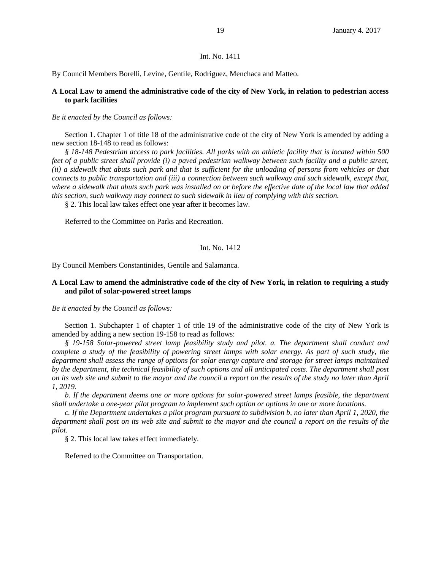### Int. No. 1411

By Council Members Borelli, Levine, Gentile, Rodriguez, Menchaca and Matteo.

# **A Local Law to amend the administrative code of the city of New York, in relation to pedestrian access to park facilities**

#### *Be it enacted by the Council as follows:*

Section 1. Chapter 1 of title 18 of the administrative code of the city of New York is amended by adding a new section 18-148 to read as follows:

*§ 18-148 Pedestrian access to park facilities. All parks with an athletic facility that is located within 500 feet of a public street shall provide (i) a paved pedestrian walkway between such facility and a public street, (ii) a sidewalk that abuts such park and that is sufficient for the unloading of persons from vehicles or that connects to public transportation and (iii) a connection between such walkway and such sidewalk, except that, where a sidewalk that abuts such park was installed on or before the effective date of the local law that added this section, such walkway may connect to such sidewalk in lieu of complying with this section.*

§ 2. This local law takes effect one year after it becomes law.

Referred to the Committee on Parks and Recreation.

### Int. No. 1412

By Council Members Constantinides, Gentile and Salamanca.

## **A Local Law to amend the administrative code of the city of New York, in relation to requiring a study and pilot of solar-powered street lamps**

*Be it enacted by the Council as follows:*

Section 1. Subchapter 1 of chapter 1 of title 19 of the administrative code of the city of New York is amended by adding a new section 19-158 to read as follows:

*§ 19-158 Solar-powered street lamp feasibility study and pilot. a. The department shall conduct and complete a study of the feasibility of powering street lamps with solar energy. As part of such study, the department shall assess the range of options for solar energy capture and storage for street lamps maintained by the department, the technical feasibility of such options and all anticipated costs. The department shall post on its web site and submit to the mayor and the council a report on the results of the study no later than April 1, 2019.*

*b. If the department deems one or more options for solar-powered street lamps feasible, the department shall undertake a one-year pilot program to implement such option or options in one or more locations.* 

*c. If the Department undertakes a pilot program pursuant to subdivision b, no later than April 1, 2020, the department shall post on its web site and submit to the mayor and the council a report on the results of the pilot.*

§ 2. This local law takes effect immediately.

Referred to the Committee on Transportation.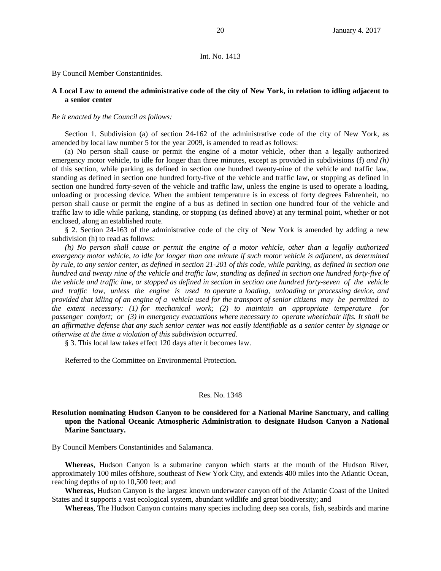#### Int. No. 1413

By Council Member Constantinides.

## **A Local Law to amend the administrative code of the city of New York, in relation to idling adjacent to a senior center**

### *Be it enacted by the Council as follows:*

Section 1. Subdivision (a) of section 24-162 of the administrative code of the city of New York, as amended by local law number 5 for the year 2009, is amended to read as follows:

(a) No person shall cause or permit the engine of a motor vehicle, other than a legally authorized emergency motor vehicle, to idle for longer than three minutes, except as provided in subdivision*s* (f) *and (h)* of this section, while parking as defined in section one hundred twenty-nine of the vehicle and traffic law, standing as defined in section one hundred forty-five of the vehicle and traffic law, or stopping as defined in section one hundred forty-seven of the vehicle and traffic law, unless the engine is used to operate a loading, unloading or processing device. When the ambient temperature is in excess of forty degrees Fahrenheit, no person shall cause or permit the engine of a bus as defined in section one hundred four of the vehicle and traffic law to idle while parking, standing, or stopping (as defined above) at any terminal point, whether or not enclosed, along an established route.

§ 2. Section 24-163 of the administrative code of the city of New York is amended by adding a new subdivision (h) to read as follows:

*(h) No person shall cause or permit the engine of a motor vehicle, other than a legally authorized emergency motor vehicle, to idle for longer than one minute if such motor vehicle is adjacent, as determined by rule, to any senior center, as defined in section 21-201 of this code, while parking, as defined in section one hundred and twenty nine of the vehicle and traffic law, standing as defined in section one hundred forty-five of the vehicle and traffic law, or stopped as defined in section in section one hundred forty-seven of the vehicle and traffic law, unless the engine is used to operate a loading, unloading or processing device, and provided that idling of an engine of a vehicle used for the transport of senior citizens may be permitted to the extent necessary: (1) for mechanical work; (2) to maintain an appropriate temperature for passenger comfort; or (3) in emergency evacuations where necessary to operate wheelchair lifts. It shall be an affirmative defense that any such senior center was not easily identifiable as a senior center by signage or otherwise at the time a violation of this subdivision occurred.* 

§ 3. This local law takes effect 120 days after it becomes law.

Referred to the Committee on Environmental Protection.

#### Res. No. 1348

### **Resolution nominating Hudson Canyon to be considered for a National Marine Sanctuary, and calling upon the National Oceanic Atmospheric Administration to designate Hudson Canyon a National Marine Sanctuary.**

By Council Members Constantinides and Salamanca.

**Whereas**, Hudson Canyon is a submarine canyon which starts at the mouth of the Hudson River, approximately 100 miles offshore, southeast of New York City, and extends 400 miles into the Atlantic Ocean, reaching depths of up to 10,500 feet; and

**Whereas,** Hudson Canyon is the largest known underwater canyon off of the Atlantic Coast of the United States and it supports a vast ecological system, abundant wildlife and great biodiversity; and

**Whereas**, The Hudson Canyon contains many species including deep sea corals, fish, seabirds and marine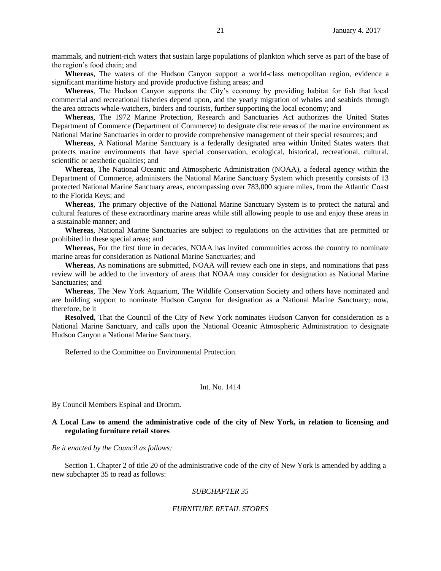mammals, and nutrient-rich waters that sustain large populations of plankton which serve as part of the base of the region's food chain; and

**Whereas**, The waters of the Hudson Canyon support a world-class metropolitan region, evidence a significant maritime history and provide productive fishing areas; and

**Whereas**, The Hudson Canyon supports the City's economy by providing habitat for fish that local commercial and recreational fisheries depend upon, and the yearly migration of whales and seabirds through the area attracts whale-watchers, birders and tourists, further supporting the local economy; and

**Whereas**, The 1972 Marine Protection, Research and Sanctuaries Act authorizes the United States Department of Commerce (Department of Commerce) to designate discrete areas of the marine environment as National Marine Sanctuaries in order to provide comprehensive management of their special resources; and

**Whereas**, A National Marine Sanctuary is a federally designated area within United States waters that protects marine environments that have special conservation, ecological, historical, recreational, cultural, scientific or aesthetic qualities; and

**Whereas**, The National Oceanic and Atmospheric Administration (NOAA), a federal agency within the Department of Commerce, administers the National Marine Sanctuary System which presently consists of 13 protected National Marine Sanctuary areas, encompassing over 783,000 square miles, from the Atlantic Coast to the Florida Keys; and

**Whereas**, The primary objective of the National Marine Sanctuary System is to protect the natural and cultural features of these extraordinary marine areas while still allowing people to use and enjoy these areas in a sustainable manner; and

**Whereas**, National Marine Sanctuaries are subject to regulations on the activities that are permitted or prohibited in these special areas; and

**Whereas**, For the first time in decades, NOAA has invited communities across the country to nominate marine areas for consideration as National Marine Sanctuaries; and

**Whereas**, As nominations are submitted, NOAA will review each one in steps, and nominations that pass review will be added to the inventory of areas that NOAA may consider for designation as National Marine Sanctuaries; and

**Whereas**, The New York Aquarium, The Wildlife Conservation Society and others have nominated and are building support to nominate Hudson Canyon for designation as a National Marine Sanctuary; now, therefore, be it

**Resolved**, That the Council of the City of New York nominates Hudson Canyon for consideration as a National Marine Sanctuary, and calls upon the National Oceanic Atmospheric Administration to designate Hudson Canyon a National Marine Sanctuary.

Referred to the Committee on Environmental Protection.

#### Int. No. 1414

By Council Members Espinal and Dromm.

## **A Local Law to amend the administrative code of the city of New York, in relation to licensing and regulating furniture retail stores**

*Be it enacted by the Council as follows:*

Section 1. Chapter 2 of title 20 of the administrative code of the city of New York is amended by adding a new subchapter 35 to read as follows:

## *SUBCHAPTER 35*

#### *FURNITURE RETAIL STORES*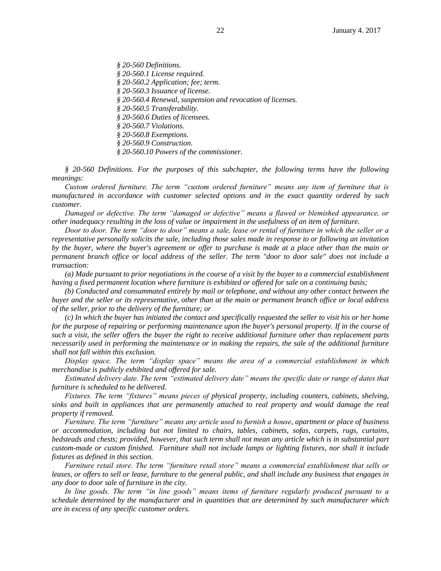*§ 20-560 Definitions.*

- *§ 20-560.1 License required.*
- *§ 20-560.2 Application; fee; term.*
- *§ 20-560.3 Issuance of license.*
- *§ 20-560.4 Renewal, suspension and revocation of licenses.*
- *§ 20-560.5 Transferability.*
- *§ 20-560.6 Duties of licensees.*
- *§ 20-560.7 Violations.*
- *§ 20-560.8 Exemptions.*
- *§ 20-560.9 Construction.*
- *§ 20-560.10 Powers of the commissioner.*

*§ 20-560 Definitions. For the purposes of this subchapter, the following terms have the following meanings:*

*Custom ordered furniture. The term "custom ordered furniture" means any item of furniture that is manufactured in accordance with customer selected options and in the exact quantity ordered by such customer.*

*Damaged or defective. The term "damaged or defective" means a flawed or blemished appearance, or other inadequacy resulting in the loss of value or impairment in the usefulness of an item of furniture.*

*Door to door. The term "door to door" means a sale, lease or rental of furniture in which the seller or a representative personally solicits the sale, including those sales made in response to or following an invitation by the buyer, where the buyer's agreement or offer to purchase is made at a place other than the main or permanent branch office or local address of the seller. The term "door to door sale" does not include a transaction:*

*(a) Made pursuant to prior negotiations in the course of a visit by the buyer to a commercial establishment having a fixed permanent location where furniture is exhibited or offered for sale on a continuing basis;*

*(b) Conducted and consummated entirely by mail or telephone, and without any other contact between the buyer and the seller or its representative, other than at the main or permanent branch office or local address of the seller, prior to the delivery of the furniture; or*

*(c) In which the buyer has initiated the contact and specifically requested the seller to visit his or her home for the purpose of repairing or performing maintenance upon the buyer's personal property. If in the course of such a visit, the seller offers the buyer the right to receive additional furniture other than replacement parts necessarily used in performing the maintenance or in making the repairs, the sale of the additional furniture shall not fall within this exclusion.*

*Display space. The term "display space" means the area of a commercial establishment in which merchandise is publicly exhibited and offered for sale.*

*Estimated delivery date. The term "estimated delivery date" means the specific date or range of dates that furniture is scheduled to be delivered.*

*Fixtures. The term "fixtures" means pieces of physical property, including counters, cabinets, shelving, sinks and built in appliances that are permanently attached to real property and would damage the real property if removed.*

*Furniture. The term "furniture" means any article used to furnish a house, apartment or place of business or accommodation, including but not limited to chairs, tables, cabinets, sofas, carpets, rugs, curtains, bedsteads and chests; provided, however, that such term shall not mean any article which is in substantial part custom-made or custom finished. Furniture shall not include lamps or lighting fixtures, nor shall it include fixtures as defined in this section.*

*Furniture retail store. The term "furniture retail store" means a commercial establishment that sells or leases, or offers to sell or lease, furniture to the general public, and shall include any business that engages in any door to door sale of furniture in the city.*

*In line goods. The term "in line goods" means items of furniture regularly produced pursuant to a schedule determined by the manufacturer and in quantities that are determined by such manufacturer which are in excess of any specific customer orders.*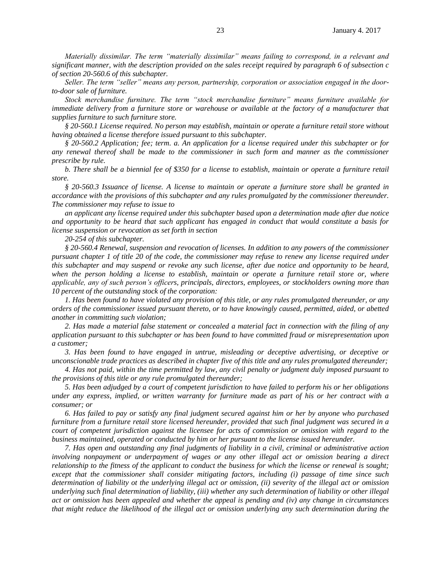*Materially dissimilar. The term "materially dissimilar" means failing to correspond, in a relevant and significant manner, with the description provided on the sales receipt required by paragraph 6 of subsection c of section 20-560.6 of this subchapter.*

*Seller. The term "seller" means any person, partnership, corporation or association engaged in the doorto-door sale of furniture.*

*Stock merchandise furniture. The term "stock merchandise furniture" means furniture available for immediate delivery from a furniture store or warehouse or available at the factory of a manufacturer that supplies furniture to such furniture store.*

*§ 20-560.1 License required. No person may establish, maintain or operate a furniture retail store without having obtained a license therefore issued pursuant to this subchapter.*

*§ 20-560.2 Application; fee; term. a. An application for a license required under this subchapter or for any renewal thereof shall be made to the commissioner in such form and manner as the commissioner prescribe by rule.*

*b. There shall be a biennial fee of \$350 for a license to establish, maintain or operate a furniture retail store.*

*§ 20-560.3 Issuance of license. A license to maintain or operate a furniture store shall be granted in accordance with the provisions of this subchapter and any rules promulgated by the commissioner thereunder. The commissioner may refuse to issue to*

*an applicant any license required under this subchapter based upon a determination made after due notice and opportunity to be heard that such applicant has engaged in conduct that would constitute a basis for license suspension or revocation as set forth in section*

*20-254 of this subchapter.*

*§ 20-560.4 Renewal, suspension and revocation of licenses. In addition to any powers of the commissioner pursuant chapter 1 of title 20 of the code, the commissioner may refuse to renew any license required under this subchapter and may suspend or revoke any such license, after due notice and opportunity to be heard, when the person holding a license to establish, maintain or operate a furniture retail store or, where applicable, any of such person's officers, principals, directors, employees, or stockholders owning more than 10 percent of the outstanding stock of the corporation:*

*1. Has been found to have violated any provision of this title, or any rules promulgated thereunder, or any orders of the commissioner issued pursuant thereto, or to have knowingly caused, permitted, aided, or abetted another in committing such violation;*

*2. Has made a material false statement or concealed a material fact in connection with the filing of any application pursuant to this subchapter or has been found to have committed fraud or misrepresentation upon a customer;*

*3. Has been found to have engaged in untrue, misleading or deceptive advertising, or deceptive or unconscionable trade practices as described in chapter five of this title and any rules promulgated thereunder;*

*4. Has not paid, within the time permitted by law, any civil penalty or judgment duly imposed pursuant to the provisions of this title or any rule promulgated thereunder;*

*5. Has been adjudged by a court of competent jurisdiction to have failed to perform his or her obligations under any express, implied, or written warranty for furniture made as part of his or her contract with a consumer; or*

*6. Has failed to pay or satisfy any final judgment secured against him or her by anyone who purchased furniture from a furniture retail store licensed hereunder, provided that such final judgment was secured in a court of competent jurisdiction against the licensee for acts of commission or omission with regard to the business maintained, operated or conducted by him or her pursuant to the license issued hereunder.*

*7. Has open and outstanding any final judgments of liability in a civil, criminal or administrative action involving nonpayment or underpayment of wages or any other illegal act or omission bearing a direct relationship to the fitness of the applicant to conduct the business for which the license or renewal is sought; except that the commissioner shall consider mitigating factors, including (i) passage of time since such determination of liability ot the underlying illegal act or omission, (ii) severity of the illegal act or omission underlying such final determination of liability, (iii) whether any such determination of liability or other illegal act or omission has been appealed and whether the appeal is pending and (iv) any change in circumstances that might reduce the likelihood of the illegal act or omission underlying any such determination during the*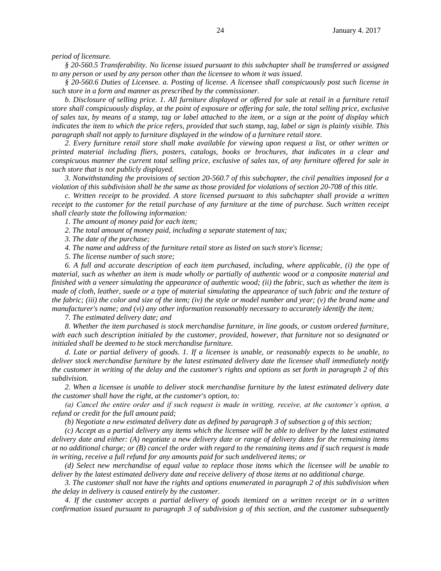*period of licensure.*

*§ 20-560.5 Transferability. No license issued pursuant to this subchapter shall be transferred or assigned to any person or used by any person other than the licensee to whom it was issued.*

*§ 20-560.6 Duties of Licensee. a. Posting of license. A licensee shall conspicuously post such license in such store in a form and manner as prescribed by the commissioner.*

b. Disclosure of selling price. 1. All furniture displayed or offered for sale at retail in a furniture retail *store shall conspicuously display, at the point of exposure or offering for sale, the total selling price, exclusive of sales tax, by means of a stamp, tag or label attached to the item, or a sign at the point of display which indicates the item to which the price refers, provided that such stamp, tag, label or sign is plainly visible. This paragraph shall not apply to furniture displayed in the window of a furniture retail store.*

*2. Every furniture retail store shall make available for viewing upon request a list, or other written or printed material including fliers, posters, catalogs, books or brochures, that indicates in a clear and conspicuous manner the current total selling price, exclusive of sales tax, of any furniture offered for sale in such store that is not publicly displayed.*

*3. Notwithstanding the provisions of section 20-560.7 of this subchapter, the civil penalties imposed for a violation of this subdivision shall be the same as those provided for violations of section 20-708 of this title.*

*c. Written receipt to be provided. A store licensed pursuant to this subchapter shall provide a written receipt to the customer for the retail purchase of any furniture at the time of purchase. Such written receipt shall clearly state the following information:*

*1. The amount of money paid for each item;*

*2. The total amount of money paid, including a separate statement of tax;*

*3. The date of the purchase;*

*4. The name and address of the furniture retail store as listed on such store's license;*

*5. The license number of such store;*

*6. A full and accurate description of each item purchased, including, where applicable, (i) the type of material, such as whether an item is made wholly or partially of authentic wood or a composite material and finished with a veneer simulating the appearance of authentic wood; (ii) the fabric, such as whether the item is made of cloth, leather, suede or a type of material simulating the appearance of such fabric and the texture of the fabric; (iii) the color and size of the item; (iv) the style or model number and year; (v) the brand name and manufacturer's name; and (vi) any other information reasonably necessary to accurately identify the item;*

*7. The estimated delivery date; and*

*8. Whether the item purchased is stock merchandise furniture, in line goods, or custom ordered furniture, with each such description initialed by the customer, provided, however, that furniture not so designated or initialed shall be deemed to be stock merchandise furniture.*

*d. Late or partial delivery of goods. 1. If a licensee is unable, or reasonably expects to be unable, to deliver stock merchandise furniture by the latest estimated delivery date the licensee shall immediately notify the customer in writing of the delay and the customer's rights and options as set forth in paragraph 2 of this subdivision.*

*2. When a licensee is unable to deliver stock merchandise furniture by the latest estimated delivery date the customer shall have the right, at the customer's option, to:*

*(a) Cancel the entire order and if such request is made in writing, receive, at the customer's option, a refund or credit for the full amount paid;*

*(b) Negotiate a new estimated delivery date as defined by paragraph 3 of subsection g of this section;*

*(c) Accept as a partial delivery any items which the licensee will be able to deliver by the latest estimated delivery date and either: (A) negotiate a new delivery date or range of delivery dates for the remaining items at no additional charge; or (B) cancel the order with regard to the remaining items and if such request is made in writing, receive a full refund for any amounts paid for such undelivered items; or*

*(d) Select new merchandise of equal value to replace those items which the licensee will be unable to deliver by the latest estimated delivery date and receive delivery of those items at no additional charge.*

*3. The customer shall not have the rights and options enumerated in paragraph 2 of this subdivision when the delay in delivery is caused entirely by the customer.*

*4. If the customer accepts a partial delivery of goods itemized on a written receipt or in a written confirmation issued pursuant to paragraph 3 of subdivision g of this section, and the customer subsequently*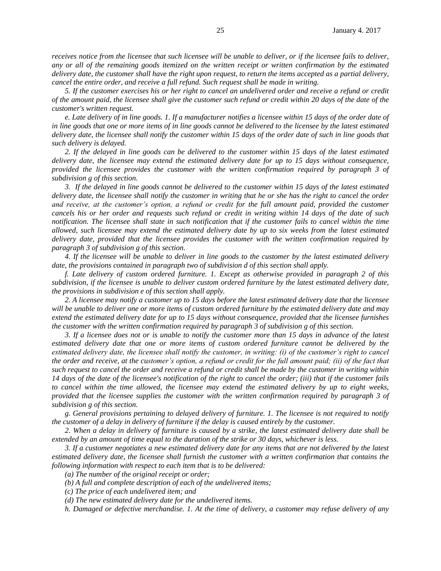*receives notice from the licensee that such licensee will be unable to deliver, or if the licensee fails to deliver, any or all of the remaining goods itemized on the written receipt or written confirmation by the estimated delivery date, the customer shall have the right upon request, to return the items accepted as a partial delivery, cancel the entire order, and receive a full refund. Such request shall be made in writing.*

*5. If the customer exercises his or her right to cancel an undelivered order and receive a refund or credit of the amount paid, the licensee shall give the customer such refund or credit within 20 days of the date of the customer's written request.*

*e. Late delivery of in line goods. 1. If a manufacturer notifies a licensee within 15 days of the order date of in line goods that one or more items of in line goods cannot be delivered to the licensee by the latest estimated delivery date, the licensee shall notify the customer within 15 days of the order date of such in line goods that such delivery is delayed.*

*2. If the delayed in line goods can be delivered to the customer within 15 days of the latest estimated delivery date, the licensee may extend the estimated delivery date for up to 15 days without consequence, provided the licensee provides the customer with the written confirmation required by paragraph 3 of subdivision g of this section.* 

*3. If the delayed in line goods cannot be delivered to the customer within 15 days of the latest estimated delivery date, the licensee shall notify the customer in writing that he or she has the right to cancel the order and receive, at the customer's option, a refund or credit for the full amount paid, provided the customer cancels his or her order and requests such refund or credit in writing within 14 days of the date of such notification. The licensee shall state in such notification that if the customer fails to cancel within the time allowed, such licensee may extend the estimated delivery date by up to six weeks from the latest estimated delivery date, provided that the licensee provides the customer with the written confirmation required by paragraph 3 of subdivision g of this section.*

*4. If the licensee will be unable to deliver in line goods to the customer by the latest estimated delivery date, the provisions contained in paragraph two of subdivision d of this section shall apply.*

*f. Late delivery of custom ordered furniture. 1. Except as otherwise provided in paragraph 2 of this subdivision, if the licensee is unable to deliver custom ordered furniture by the latest estimated delivery date, the provisions in subdivision e of this section shall apply.*

*2. A licensee may notify a customer up to 15 days before the latest estimated delivery date that the licensee will be unable to deliver one or more items of custom ordered furniture by the estimated delivery date and may extend the estimated delivery date for up to 15 days without consequence, provided that the licensee furnishes the customer with the written confirmation required by paragraph 3 of subdivision g of this section.*

*3. If a licensee does not or is unable to notify the customer more than 15 days in advance of the latest estimated delivery date that one or more items of custom ordered furniture cannot be delivered by the estimated delivery date, the licensee shall notify the customer, in writing: (i) of the customer's right to cancel the order and receive, at the customer's option, a refund or credit for the full amount paid; (ii) of the fact that such request to cancel the order and receive a refund or credit shall be made by the customer in writing within 14 days of the date of the licensee's notification of the right to cancel the order; (iii) that if the customer fails to cancel within the time allowed, the licensee may extend the estimated delivery by up to eight weeks, provided that the licensee supplies the customer with the written confirmation required by paragraph 3 of subdivision g of this section.*

*g. General provisions pertaining to delayed delivery of furniture. 1. The licensee is not required to notify the customer of a delay in delivery of furniture if the delay is caused entirely by the customer.*

*2. When a delay in delivery of furniture is caused by a strike, the latest estimated delivery date shall be extended by an amount of time equal to the duration of the strike or 30 days, whichever is less.*

*3. If a customer negotiates a new estimated delivery date for any items that are not delivered by the latest estimated delivery date, the licensee shall furnish the customer with a written confirmation that contains the following information with respect to each item that is to be delivered:*

*(a) The number of the original receipt or order;*

*(b) A full and complete description of each of the undelivered items;*

*(c) The price of each undelivered item; and*

*(d) The new estimated delivery date for the undelivered items.*

*h. Damaged or defective merchandise. 1. At the time of delivery, a customer may refuse delivery of any*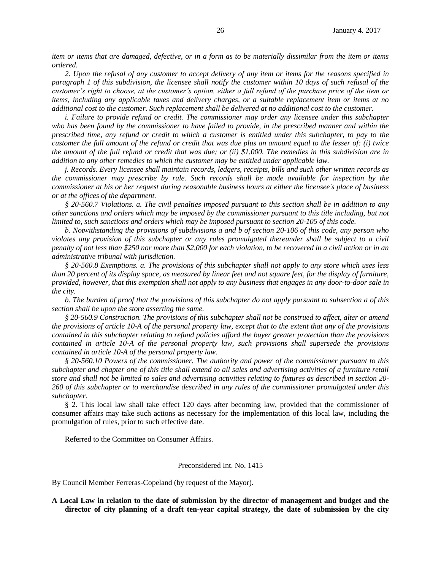*item or items that are damaged, defective, or in a form as to be materially dissimilar from the item or items ordered.*

*2. Upon the refusal of any customer to accept delivery of any item or items for the reasons specified in paragraph 1 of this subdivision, the licensee shall notify the customer within 10 days of such refusal of the customer's right to choose, at the customer's option, either a full refund of the purchase price of the item or items, including any applicable taxes and delivery charges, or a suitable replacement item or items at no additional cost to the customer. Such replacement shall be delivered at no additional cost to the customer.*

*i. Failure to provide refund or credit. The commissioner may order any licensee under this subchapter who has been found by the commissioner to have failed to provide, in the prescribed manner and within the prescribed time, any refund or credit to which a customer is entitled under this subchapter, to pay to the customer the full amount of the refund or credit that was due plus an amount equal to the lesser of: (i) twice the amount of the full refund or credit that was due; or (ii) \$1,000. The remedies in this subdivision are in addition to any other remedies to which the customer may be entitled under applicable law.*

*j. Records. Every licensee shall maintain records, ledgers, receipts, bills and such other written records as the commissioner may prescribe by rule. Such records shall be made available for inspection by the commissioner at his or her request during reasonable business hours at either the licensee's place of business or at the offices of the department.*

*§ 20-560.7 Violations. a. The civil penalties imposed pursuant to this section shall be in addition to any other sanctions and orders which may be imposed by the commissioner pursuant to this title including, but not limited to, such sanctions and orders which may be imposed pursuant to section 20-105 of this code.*

*b. Notwithstanding the provisions of subdivisions a and b of section 20-106 of this code, any person who violates any provision of this subchapter or any rules promulgated thereunder shall be subject to a civil penalty of not less than \$250 nor more than \$2,000 for each violation, to be recovered in a civil action or in an administrative tribunal with jurisdiction.*

*§ 20-560.8 Exemptions. a. The provisions of this subchapter shall not apply to any store which uses less than 20 percent of its display space, as measured by linear feet and not square feet, for the display of furniture, provided, however, that this exemption shall not apply to any business that engages in any door-to-door sale in the city.*

*b. The burden of proof that the provisions of this subchapter do not apply pursuant to subsection a of this section shall be upon the store asserting the same.*

*§ 20-560.9 Construction. The provisions of this subchapter shall not be construed to affect, alter or amend the provisions of article 10-A of the personal property law, except that to the extent that any of the provisions contained in this subchapter relating to refund policies afford the buyer greater protection than the provisions contained in article 10-A of the personal property law, such provisions shall supersede the provisions contained in article 10-A of the personal property law.*

*§ 20-560.10 Powers of the commissioner. The authority and power of the commissioner pursuant to this subchapter and chapter one of this title shall extend to all sales and advertising activities of a furniture retail store and shall not be limited to sales and advertising activities relating to fixtures as described in section 20- 260 of this subchapter or to merchandise described in any rules of the commissioner promulgated under this subchapter.*

§ 2. This local law shall take effect 120 days after becoming law, provided that the commissioner of consumer affairs may take such actions as necessary for the implementation of this local law, including the promulgation of rules, prior to such effective date.

Referred to the Committee on Consumer Affairs.

#### Preconsidered Int. No. 1415

By Council Member Ferreras-Copeland (by request of the Mayor).

**A Local Law in relation to the date of submission by the director of management and budget and the director of city planning of a draft ten-year capital strategy, the date of submission by the city**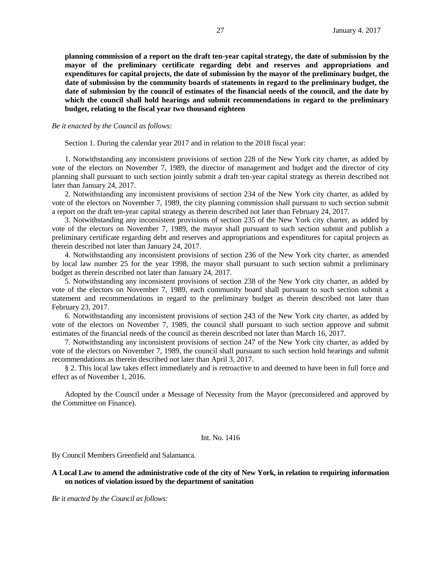**planning commission of a report on the draft ten-year capital strategy, the date of submission by the mayor of the preliminary certificate regarding debt and reserves and appropriations and expenditures for capital projects, the date of submission by the mayor of the preliminary budget, the date of submission by the community boards of statements in regard to the preliminary budget, the date of submission by the council of estimates of the financial needs of the council, and the date by which the council shall hold hearings and submit recommendations in regard to the preliminary budget, relating to the fiscal year two thousand eighteen**

#### *Be it enacted by the Council as follows:*

Section 1. During the calendar year 2017 and in relation to the 2018 fiscal year:

1. Notwithstanding any inconsistent provisions of section 228 of the New York city charter, as added by vote of the electors on November 7, 1989, the director of management and budget and the director of city planning shall pursuant to such section jointly submit a draft ten-year capital strategy as therein described not later than January 24, 2017.

2. Notwithstanding any inconsistent provisions of section 234 of the New York city charter, as added by vote of the electors on November 7, 1989, the city planning commission shall pursuant to such section submit a report on the draft ten-year capital strategy as therein described not later than February 24, 2017.

3. Notwithstanding any inconsistent provisions of section 235 of the New York city charter, as added by vote of the electors on November 7, 1989, the mayor shall pursuant to such section submit and publish a preliminary certificate regarding debt and reserves and appropriations and expenditures for capital projects as therein described not later than January 24, 2017.

4. Notwithstanding any inconsistent provisions of section 236 of the New York city charter, as amended by local law number 25 for the year 1998, the mayor shall pursuant to such section submit a preliminary budget as therein described not later than January 24, 2017.

5. Notwithstanding any inconsistent provisions of section 238 of the New York city charter, as added by vote of the electors on November 7, 1989, each community board shall pursuant to such section submit a statement and recommendations in regard to the preliminary budget as therein described not later than February 23, 2017.

6. Notwithstanding any inconsistent provisions of section 243 of the New York city charter, as added by vote of the electors on November 7, 1989, the council shall pursuant to such section approve and submit estimates of the financial needs of the council as therein described not later than March 16, 2017.

7. Notwithstanding any inconsistent provisions of section 247 of the New York city charter, as added by vote of the electors on November 7, 1989, the council shall pursuant to such section hold hearings and submit recommendations as therein described not later than April 3, 2017.

§ 2. This local law takes effect immediately and is retroactive to and deemed to have been in full force and effect as of November 1, 2016.

Adopted by the Council under a Message of Necessity from the Mayor (preconsidered and approved by the Committee on Finance).

#### Int. No. 1416

By Council Members Greenfield and Salamanca.

### **A Local Law to amend the administrative code of the city of New York, in relation to requiring information on notices of violation issued by the department of sanitation**

*Be it enacted by the Council as follows:*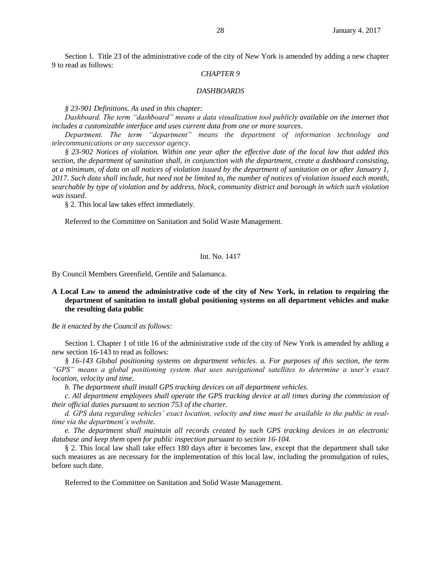Section 1. Title 23 of the administrative code of the city of New York is amended by adding a new chapter 9 to read as follows:

## *CHAPTER 9*

#### *DASHBOARDS*

*§ 23-901 Definitions. As used in this chapter:*

*Dashboard. The term "dashboard" means a data visualization tool publicly available on the internet that includes a customizable interface and uses current data from one or more sources.* 

*Department. The term "department" means the department of information technology and telecommunications or any successor agency.*

*§ 23-902 Notices of violation. Within one year after the effective date of the local law that added this section, the department of sanitation shall, in conjunction with the department, create a dashboard consisting, at a minimum, of data on all notices of violation issued by the department of sanitation on or after January 1, 2017. Such data shall include, but need not be limited to, the number of notices of violation issued each month, searchable by type of violation and by address, block, community district and borough in which such violation was issued.*

§ 2. This local law takes effect immediately.

Referred to the Committee on Sanitation and Solid Waste Management.

#### Int. No. 1417

By Council Members Greenfield, Gentile and Salamanca.

## **A Local Law to amend the administrative code of the city of New York, in relation to requiring the department of sanitation to install global positioning systems on all department vehicles and make the resulting data public**

*Be it enacted by the Council as follows:*

Section 1. Chapter 1 of title 16 of the administrative code of the city of New York is amended by adding a new section 16-143 to read as follows:

*§ 16-143 Global positioning systems on department vehicles. a. For purposes of this section, the term "GPS" means a global positioning system that uses navigational satellites to determine a user's exact location, velocity and time.*

*b. The department shall install GPS tracking devices on all department vehicles.* 

*c. All department employees shall operate the GPS tracking device at all times during the commission of their official duties pursuant to section 753 of the charter.* 

*d. GPS data regarding vehicles' exact location, velocity and time must be available to the public in realtime via the department's website.* 

*e. The department shall maintain all records created by such GPS tracking devices in an electronic database and keep them open for public inspection pursuant to section 16-104.* 

§ 2. This local law shall take effect 180 days after it becomes law, except that the department shall take such measures as are necessary for the implementation of this local law, including the promulgation of rules, before such date.

Referred to the Committee on Sanitation and Solid Waste Management.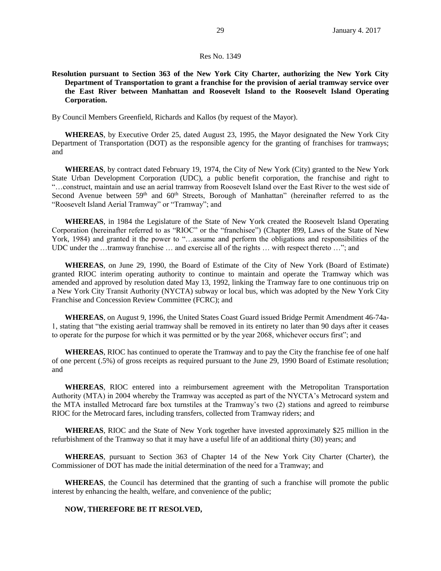### Res No. 1349

**Resolution pursuant to Section 363 of the New York City Charter, authorizing the New York City Department of Transportation to grant a franchise for the provision of aerial tramway service over the East River between Manhattan and Roosevelt Island to the Roosevelt Island Operating Corporation.** 

By Council Members Greenfield, Richards and Kallos (by request of the Mayor).

**WHEREAS**, by Executive Order 25, dated August 23, 1995, the Mayor designated the New York City Department of Transportation (DOT) as the responsible agency for the granting of franchises for tramways; and

**WHEREAS**, by contract dated February 19, 1974, the City of New York (City) granted to the New York State Urban Development Corporation (UDC), a public benefit corporation, the franchise and right to "…construct, maintain and use an aerial tramway from Roosevelt Island over the East River to the west side of Second Avenue between 59<sup>th</sup> and 60<sup>th</sup> Streets, Borough of Manhattan" (hereinafter referred to as the "Roosevelt Island Aerial Tramway" or "Tramway"; and

**WHEREAS**, in 1984 the Legislature of the State of New York created the Roosevelt Island Operating Corporation (hereinafter referred to as "RIOC" or the "franchisee") (Chapter 899, Laws of the State of New York, 1984) and granted it the power to "…assume and perform the obligations and responsibilities of the UDC under the …tramway franchise … and exercise all of the rights … with respect thereto …"; and

**WHEREAS**, on June 29, 1990, the Board of Estimate of the City of New York (Board of Estimate) granted RIOC interim operating authority to continue to maintain and operate the Tramway which was amended and approved by resolution dated May 13, 1992, linking the Tramway fare to one continuous trip on a New York City Transit Authority (NYCTA) subway or local bus, which was adopted by the New York City Franchise and Concession Review Committee (FCRC); and

**WHEREAS**, on August 9, 1996, the United States Coast Guard issued Bridge Permit Amendment 46-74a-1, stating that "the existing aerial tramway shall be removed in its entirety no later than 90 days after it ceases to operate for the purpose for which it was permitted or by the year 2068, whichever occurs first"; and

**WHEREAS**, RIOC has continued to operate the Tramway and to pay the City the franchise fee of one half of one percent (.5%) of gross receipts as required pursuant to the June 29, 1990 Board of Estimate resolution; and

**WHEREAS**, RIOC entered into a reimbursement agreement with the Metropolitan Transportation Authority (MTA) in 2004 whereby the Tramway was accepted as part of the NYCTA's Metrocard system and the MTA installed Metrocard fare box turnstiles at the Tramway's two (2) stations and agreed to reimburse RIOC for the Metrocard fares, including transfers, collected from Tramway riders; and

**WHEREAS**, RIOC and the State of New York together have invested approximately \$25 million in the refurbishment of the Tramway so that it may have a useful life of an additional thirty (30) years; and

**WHEREAS**, pursuant to Section 363 of Chapter 14 of the New York City Charter (Charter), the Commissioner of DOT has made the initial determination of the need for a Tramway; and

**WHEREAS**, the Council has determined that the granting of such a franchise will promote the public interest by enhancing the health, welfare, and convenience of the public;

### **NOW, THEREFORE BE IT RESOLVED,**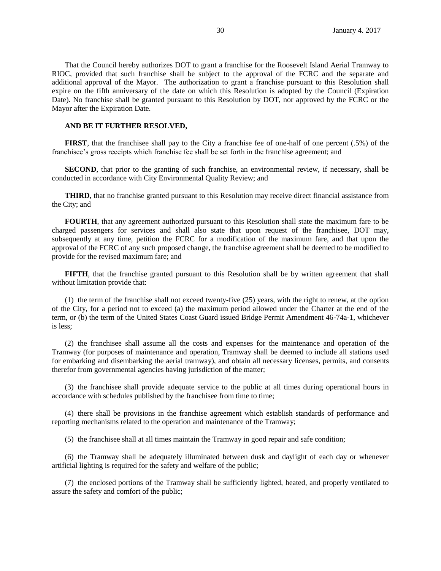That the Council hereby authorizes DOT to grant a franchise for the Roosevelt Island Aerial Tramway to RIOC, provided that such franchise shall be subject to the approval of the FCRC and the separate and additional approval of the Mayor. The authorization to grant a franchise pursuant to this Resolution shall expire on the fifth anniversary of the date on which this Resolution is adopted by the Council (Expiration Date). No franchise shall be granted pursuant to this Resolution by DOT, nor approved by the FCRC or the Mayor after the Expiration Date.

### **AND BE IT FURTHER RESOLVED,**

**FIRST**, that the franchisee shall pay to the City a franchise fee of one-half of one percent (.5%) of the franchisee's gross receipts which franchise fee shall be set forth in the franchise agreement; and

**SECOND**, that prior to the granting of such franchise, an environmental review, if necessary, shall be conducted in accordance with City Environmental Quality Review; and

**THIRD**, that no franchise granted pursuant to this Resolution may receive direct financial assistance from the City; and

**FOURTH**, that any agreement authorized pursuant to this Resolution shall state the maximum fare to be charged passengers for services and shall also state that upon request of the franchisee, DOT may, subsequently at any time, petition the FCRC for a modification of the maximum fare, and that upon the approval of the FCRC of any such proposed change, the franchise agreement shall be deemed to be modified to provide for the revised maximum fare; and

**FIFTH**, that the franchise granted pursuant to this Resolution shall be by written agreement that shall without limitation provide that:

(1) the term of the franchise shall not exceed twenty-five (25) years, with the right to renew, at the option of the City, for a period not to exceed (a) the maximum period allowed under the Charter at the end of the term, or (b) the term of the United States Coast Guard issued Bridge Permit Amendment 46-74a-1, whichever is less;

(2) the franchisee shall assume all the costs and expenses for the maintenance and operation of the Tramway (for purposes of maintenance and operation, Tramway shall be deemed to include all stations used for embarking and disembarking the aerial tramway), and obtain all necessary licenses, permits, and consents therefor from governmental agencies having jurisdiction of the matter;

(3) the franchisee shall provide adequate service to the public at all times during operational hours in accordance with schedules published by the franchisee from time to time;

(4) there shall be provisions in the franchise agreement which establish standards of performance and reporting mechanisms related to the operation and maintenance of the Tramway;

(5) the franchisee shall at all times maintain the Tramway in good repair and safe condition;

(6) the Tramway shall be adequately illuminated between dusk and daylight of each day or whenever artificial lighting is required for the safety and welfare of the public;

(7) the enclosed portions of the Tramway shall be sufficiently lighted, heated, and properly ventilated to assure the safety and comfort of the public;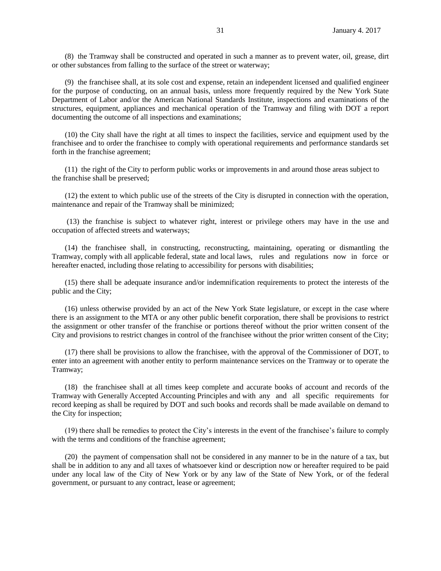(8) the Tramway shall be constructed and operated in such a manner as to prevent water, oil, grease, dirt or other substances from falling to the surface of the street or waterway;

(9) the franchisee shall, at its sole cost and expense, retain an independent licensed and qualified engineer for the purpose of conducting, on an annual basis, unless more frequently required by the New York State Department of Labor and/or the American National Standards Institute, inspections and examinations of the structures, equipment, appliances and mechanical operation of the Tramway and filing with DOT a report documenting the outcome of all inspections and examinations;

(10) the City shall have the right at all times to inspect the facilities, service and equipment used by the franchisee and to order the franchisee to comply with operational requirements and performance standards set forth in the franchise agreement;

(11) the right of the City to perform public works or improvements in and around those areas subject to the franchise shall be preserved;

(12) the extent to which public use of the streets of the City is disrupted in connection with the operation, maintenance and repair of the Tramway shall be minimized;

(13) the franchise is subject to whatever right, interest or privilege others may have in the use and occupation of affected streets and waterways;

(14) the franchisee shall, in constructing, reconstructing, maintaining, operating or dismantling the Tramway, comply with all applicable federal, state and local laws, rules and regulations now in force or hereafter enacted, including those relating to accessibility for persons with disabilities;

(15) there shall be adequate insurance and/or indemnification requirements to protect the interests of the public and the City;

(16) unless otherwise provided by an act of the New York State legislature, or except in the case where there is an assignment to the MTA or any other public benefit corporation, there shall be provisions to restrict the assignment or other transfer of the franchise or portions thereof without the prior written consent of the City and provisions to restrict changes in control of the franchisee without the prior written consent of the City;

(17) there shall be provisions to allow the franchisee, with the approval of the Commissioner of DOT, to enter into an agreement with another entity to perform maintenance services on the Tramway or to operate the Tramway;

(18) the franchisee shall at all times keep complete and accurate books of account and records of the Tramway with Generally Accepted Accounting Principles and with any and all specific requirements for record keeping as shall be required by DOT and such books and records shall be made available on demand to the City for inspection;

(19) there shall be remedies to protect the City's interests in the event of the franchisee's failure to comply with the terms and conditions of the franchise agreement;

(20) the payment of compensation shall not be considered in any manner to be in the nature of a tax, but shall be in addition to any and all taxes of whatsoever kind or description now or hereafter required to be paid under any local law of the City of New York or by any law of the State of New York, or of the federal government, or pursuant to any contract, lease or agreement;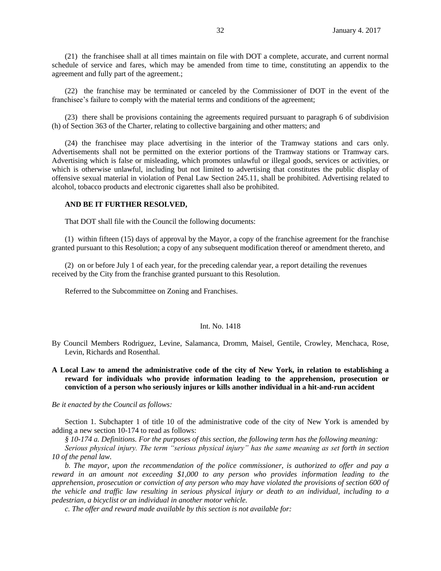(21) the franchisee shall at all times maintain on file with DOT a complete, accurate, and current normal schedule of service and fares, which may be amended from time to time, constituting an appendix to the agreement and fully part of the agreement.;

(22) the franchise may be terminated or canceled by the Commissioner of DOT in the event of the franchisee's failure to comply with the material terms and conditions of the agreement;

(23) there shall be provisions containing the agreements required pursuant to paragraph 6 of subdivision (h) of Section 363 of the Charter, relating to collective bargaining and other matters; and

(24) the franchisee may place advertising in the interior of the Tramway stations and cars only. Advertisements shall not be permitted on the exterior portions of the Tramway stations or Tramway cars. Advertising which is false or misleading, which promotes unlawful or illegal goods, services or activities, or which is otherwise unlawful, including but not limited to advertising that constitutes the public display of offensive sexual material in violation of Penal Law Section 245.11, shall be prohibited. Advertising related to alcohol, tobacco products and electronic cigarettes shall also be prohibited.

### **AND BE IT FURTHER RESOLVED,**

That DOT shall file with the Council the following documents:

(1) within fifteen (15) days of approval by the Mayor, a copy of the franchise agreement for the franchise granted pursuant to this Resolution; a copy of any subsequent modification thereof or amendment thereto, and

(2) on or before July 1 of each year, for the preceding calendar year, a report detailing the revenues received by the City from the franchise granted pursuant to this Resolution.

Referred to the Subcommittee on Zoning and Franchises.

## Int. No. 1418

- By Council Members Rodriguez, Levine, Salamanca, Dromm, Maisel, Gentile, Crowley, Menchaca, Rose, Levin, Richards and Rosenthal.
- **A Local Law to amend the administrative code of the city of New York, in relation to establishing a reward for individuals who provide information leading to the apprehension, prosecution or conviction of a person who seriously injures or kills another individual in a hit-and-run accident**

#### *Be it enacted by the Council as follows:*

Section 1. Subchapter 1 of title 10 of the administrative code of the city of New York is amended by adding a new section 10-174 to read as follows:

*§ 10-174 a. Definitions. For the purposes of this section, the following term has the following meaning:*

*Serious physical injury. The term "serious physical injury" has the same meaning as set forth in section 10 of the penal law.*

*b. The mayor, upon the recommendation of the police commissioner, is authorized to offer and pay a reward in an amount not exceeding \$1,000 to any person who provides information leading to the apprehension, prosecution or conviction of any person who may have violated the provisions of section 600 of the vehicle and traffic law resulting in serious physical injury or death to an individual, including to a pedestrian, a bicyclist or an individual in another motor vehicle.* 

*c. The offer and reward made available by this section is not available for:*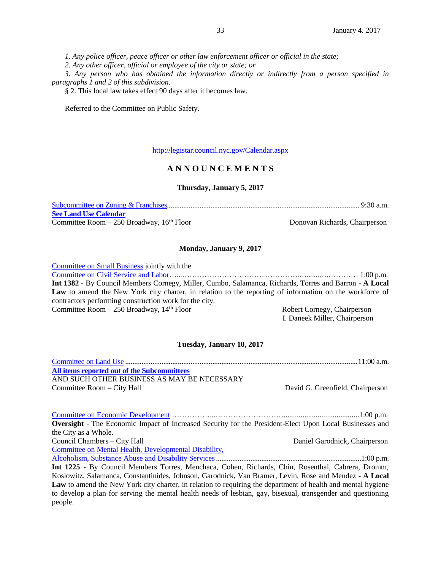*1. Any police officer, peace officer or other law enforcement officer or official in the state;*

*2. Any other officer, official or employee of the city or state; or*

*3. Any person who has obtained the information directly or indirectly from a person specified in paragraphs 1 and 2 of this subdivision.*

§ 2. This local law takes effect 90 days after it becomes law.

Referred to the Committee on Public Safety.

<http://legistar.council.nyc.gov/Calendar.aspx>

# **A N N O U N C E M E N T S**

# **Thursday, January 5, 2017**

[Subcommittee on Zoning & Franchises.](http://legistar.council.nyc.gov/DepartmentDetail.aspx?ID=6924&GUID=E0CAE2B6-1240-4EB7-9640-5B59E51BF05A&R=6dc60e20-70da-452d-9e4f-a48604344b31)......................................................................................................... 9:30 a.m. **[See Land Use Calendar](http://legistar.council.nyc.gov/MeetingDetail.aspx?ID=296225&GUID=D3683FE4-5ADF-491B-A105-94CBCC95C050&Options=info|&Search=)** Committee Room – 250 Broadway, 16<sup>th</sup> Floor Donovan Richards, Chairperson

# **Monday, January 9, 2017**

[Committee on Small Business](http://legistar.council.nyc.gov/DepartmentDetail.aspx?ID=7036&GUID=3A232920-4E50-4D57-80B8-1C8587F3EA32&R=acd5288e-ab4a-4827-b9e4-8b06ae97c95e) jointly with the [Committee on Civil Service and Labor…](http://legistar.council.nyc.gov/DepartmentDetail.aspx?ID=6899&GUID=034D0BA8-ABC8-4F9E-87CB-20B044830D4E&R=ed2ddfb0-fe3d-47b9-81b1-9ee2776b3cb8)...……………………………..………….….......….………… 1:00 p.m. **Int 1382** - By Council Members Cornegy, Miller, Cumbo, Salamanca, Richards, Torres and Barron - **A Local**  Law to amend the New York city charter, in relation to the reporting of information on the workforce of contractors performing construction work for the city. Committee Room – 250 Broadway, 14<sup>th</sup> Floor Robert Cornegy, Chairperson I. Daneek Miller, Chairperson

### **Tuesday, January 10, 2017**

[Committee on Land Use](http://legistar.council.nyc.gov/DepartmentDetail.aspx?ID=6911&GUID=4D11542D-9734-4C79-8A1C-8E30726B2DF9&R=6176eb7d-9425-4022-8219-9903ede3a359) ................................................................................................................................11:00 a.m. **[All items reported out of the Subcommittees](http://legistar.council.nyc.gov/MeetingDetail.aspx?ID=296244&GUID=605F6727-8BB7-4135-ADCA-CE9C468D8058&Options=info|&Search=)** AND SUCH OTHER BUSINESS AS MAY BE NECESSARY Committee Room – City Hall David G. Greenfield, Chairperson

[Committee on Economic Development](http://legistar.council.nyc.gov/DepartmentDetail.aspx?ID=6902&GUID=20952634-865F-460A-97E7-63590F03C065&R=4116fde7-2603-44ae-8c9f-2466f58fe3d7) ……………...………………………........................................1:00 p.m. **Oversight** - The Economic Impact of Increased Security for the President-Elect Upon Local Businesses and the City as a Whole. Council Chambers – City Hall Daniel Garodnick, Chairperson [Committee on Mental Health, Developmental Disability,](http://legistar.council.nyc.gov/DepartmentDetail.aspx?ID=7025&GUID=C012BB2A-9043-47B6-A357-9F19AA4E18DA&R=bd9aecc3-5467-4392-b9c0-2881db71db63)  [Alcoholism, Substance Abuse and Disability Services.](http://legistar.council.nyc.gov/DepartmentDetail.aspx?ID=7025&GUID=C012BB2A-9043-47B6-A357-9F19AA4E18DA&R=bd9aecc3-5467-4392-b9c0-2881db71db63)...............................................................................1:00 p.m. **Int 1225** - By Council Members Torres, Menchaca, Cohen, Richards, Chin, Rosenthal, Cabrera, Dromm, Koslowitz, Salamanca, Constantinides, Johnson, Garodnick, Van Bramer, Levin, Rose and Mendez - **A Local Law** to amend the New York city charter, in relation to requiring the department of health and mental hygiene to develop a plan for serving the mental health needs of lesbian, gay, bisexual, transgender and questioning people.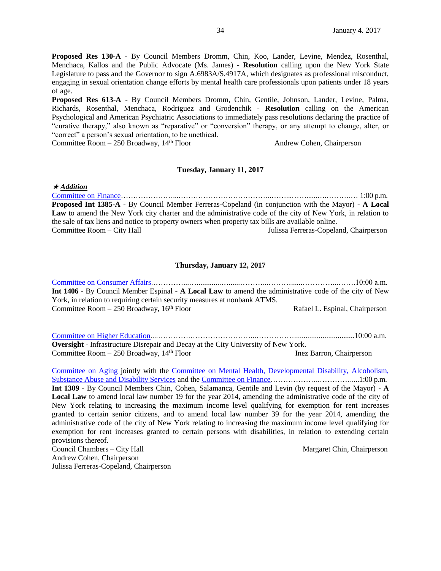**Proposed Res 130-A** - By Council Members Dromm, Chin, Koo, Lander, Levine, Mendez, Rosenthal, Menchaca, Kallos and the Public Advocate (Ms. James) - **Resolution** calling upon the New York State Legislature to pass and the Governor to sign A.6983A/S.4917A, which designates as professional misconduct, engaging in sexual orientation change efforts by mental health care professionals upon patients under 18 years of age.

**Proposed Res 613-A** - By Council Members Dromm, Chin, Gentile, Johnson, Lander, Levine, Palma, Richards, Rosenthal, Menchaca, Rodriguez and Grodenchik - **Resolution** calling on the American Psychological and American Psychiatric Associations to immediately pass resolutions declaring the practice of "curative therapy," also known as "reparative" or "conversion" therapy, or any attempt to change, alter, or "correct" a person's sexual orientation, to be unethical.

Committee Room – 250 Broadway, 14<sup>th</sup> Floor Andrew Cohen, Chairperson

## **Tuesday, January 11, 2017**

*Addition*

[Committee on Finance…](http://legistar.council.nyc.gov/DepartmentDetail.aspx?ID=6905&GUID=0D8F5FED-57D4-42FA-AA98-0F26D09E7158&Search=)………………...………………………………..……...……......….……….… 1:00 p.m. **Proposed Int 1385-A** - By Council Member Ferreras-Copeland (in conjunction with the Mayor) - **A Local Law** to amend the New York city charter and the administrative code of the city of New York, in relation to the sale of tax liens and notice to property owners when property tax bills are available online. Committee Room – City Hall Julissa Ferreras-Copeland, Chairperson

# **Thursday, January 12, 2017**

[Committee on Consumer Affairs.](http://legistar.council.nyc.gov/DepartmentDetail.aspx?ID=6900&GUID=E60F8CED-E2E8-49FD-9100-EF040D3752CA&Search=)…………...….............…......………...………......…………...…….10:00 a.m. **Int 1406** - By Council Member Espinal - **A Local Law** to amend the administrative code of the city of New York, in relation to requiring certain security measures at nonbank ATMS. Committee Room – 250 Broadway, 16<sup>th</sup> Floor Rafael L. Espinal, Chairperson

[Committee on Higher Education.](http://legistar.council.nyc.gov/DepartmentDetail.aspx?ID=6909&GUID=3B12A295-AC6A-4C24-BF6B-4C3993F7BE24&Search=)...………….……………………...……………................................10:00 a.m. **Oversight** - Infrastructure Disrepair and Decay at the City University of New York. Committee Room – 250 Broadway, 14<sup>th</sup> Floor Inez Barron, Chairperson

[Committee on Aging](http://legistar.council.nyc.gov/DepartmentDetail.aspx?ID=6898&GUID=20C96A61-8598-42A1-89BC-2E34FDD48062&R=13f8dbed-67d5-4712-af48-355c709acae9) jointly with the [Committee on Mental Health, Developmental Disability, Alcoholism,](http://legistar.council.nyc.gov/DepartmentDetail.aspx?ID=7025&GUID=C012BB2A-9043-47B6-A357-9F19AA4E18DA&R=bd9aecc3-5467-4392-b9c0-2881db71db63)  [Substance Abuse and Disability Services](http://legistar.council.nyc.gov/DepartmentDetail.aspx?ID=7025&GUID=C012BB2A-9043-47B6-A357-9F19AA4E18DA&R=bd9aecc3-5467-4392-b9c0-2881db71db63) and the [Committee on Finance…](http://legistar.council.nyc.gov/DepartmentDetail.aspx?ID=6905&GUID=0D8F5FED-57D4-42FA-AA98-0F26D09E7158&Search=)……………..………….....1:00 p.m. **Int 1309** - By Council Members Chin, Cohen, Salamanca, Gentile and Levin (by request of the Mayor) - **A Local Law** to amend local law number 19 for the year 2014, amending the administrative code of the city of New York relating to increasing the maximum income level qualifying for exemption for rent increases granted to certain senior citizens, and to amend local law number 39 for the year 2014, amending the administrative code of the city of New York relating to increasing the maximum income level qualifying for exemption for rent increases granted to certain persons with disabilities, in relation to extending certain provisions thereof. Council Chambers – City Hall **Margaret Chin**, Chairperson

Andrew Cohen, Chairperson Julissa Ferreras-Copeland, Chairperson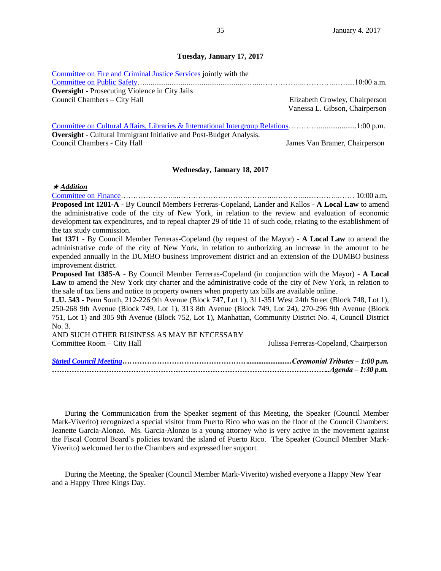## **Tuesday, January 17, 2017**

| Committee on Fire and Criminal Justice Services jointly with the           |                                |
|----------------------------------------------------------------------------|--------------------------------|
|                                                                            |                                |
| <b>Oversight</b> - Prosecuting Violence in City Jails                      |                                |
| Council Chambers – City Hall                                               | Elizabeth Crowley, Chairperson |
|                                                                            | Vanessa L. Gibson, Chairperson |
|                                                                            |                                |
| <b>Oversight</b> - Cultural Immigrant Initiative and Post-Budget Analysis. |                                |
| Council Chambers - City Hall                                               | James Van Bramer, Chairperson  |
|                                                                            |                                |

### **Wednesday, January 18, 2017**

*Addition*

[Committee on Finance…](http://legistar.council.nyc.gov/DepartmentDetail.aspx?ID=6905&GUID=0D8F5FED-57D4-42FA-AA98-0F26D09E7158&Search=)………………...……………………….………..…………......………..…… 10:00 a.m. **Proposed Int 1281-A** - By Council Members Ferreras-Copeland, Lander and Kallos - **A Local Law** to amend the administrative code of the city of New York, in relation to the review and evaluation of economic development tax expenditures, and to repeal chapter 29 of title 11 of such code, relating to the establishment of the tax study commission.

**Int 1371** - By Council Member Ferreras-Copeland (by request of the Mayor) - **A Local Law** to amend the administrative code of the city of New York, in relation to authorizing an increase in the amount to be expended annually in the DUMBO business improvement district and an extension of the DUMBO business improvement district.

**Proposed Int 1385-A** - By Council Member Ferreras-Copeland (in conjunction with the Mayor) - **A Local Law** to amend the New York city charter and the administrative code of the city of New York, in relation to the sale of tax liens and notice to property owners when property tax bills are available online.

**L.U. 543** - Penn South, 212-226 9th Avenue (Block 747, Lot 1), 311-351 West 24th Street (Block 748, Lot 1), 250-268 9th Avenue (Block 749, Lot 1), 313 8th Avenue (Block 749, Lot 24), 270-296 9th Avenue (Block 751, Lot 1) and 305 9th Avenue (Block 752, Lot 1), Manhattan, Community District No. 4, Council District No. 3.

AND SUCH OTHER BUSINESS AS MAY BE NECESSARY Committee Room – City Hall Julissa Ferreras-Copeland, Chairperson

During the Communication from the Speaker segment of this Meeting, the Speaker (Council Member Mark-Viverito) recognized a special visitor from Puerto Rico who was on the floor of the Council Chambers: Jeanette Garcia-Alonzo. Ms. Garcia-Alonzo is a young attorney who is very active in the movement against the Fiscal Control Board's policies toward the island of Puerto Rico. The Speaker (Council Member Mark-Viverito) welcomed her to the Chambers and expressed her support.

During the Meeting, the Speaker (Council Member Mark-Viverito) wished everyone a Happy New Year and a Happy Three Kings Day.